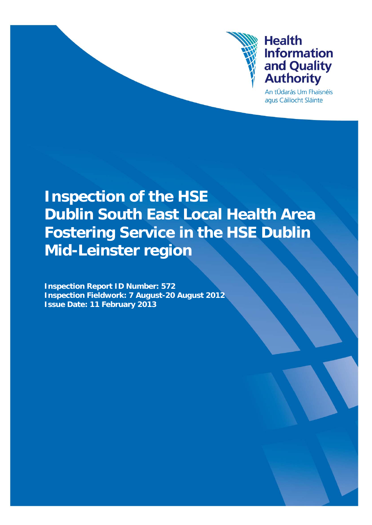

# Leinster region **Health** Information and Quality Authority Authority Authority Authority Authority Authority Authority Authority A **Information** and Quality **Authority**

An tÚdarás Um Fhaisnéis agus Cáilíocht Sláinte

# **Inspection of the HSE Dublin South East Local Health Area Fostering Service in the HSE Dublin Mid-Leinster region**

**Inspection Report ID Number: 572 Inspection Fieldwork: 7 August-20 August 2012 Issue Date: 11 February 2013**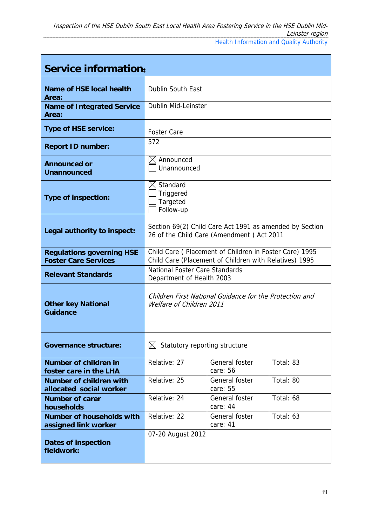| Service information:                                            |                                                                                                                  |                            |           |  |
|-----------------------------------------------------------------|------------------------------------------------------------------------------------------------------------------|----------------------------|-----------|--|
| Name of HSE local health<br>Area:                               | <b>Dublin South East</b>                                                                                         |                            |           |  |
| <b>Name of Integrated Service</b><br>Area:                      | <b>Dublin Mid-Leinster</b>                                                                                       |                            |           |  |
| <b>Type of HSE service:</b>                                     | <b>Foster Care</b>                                                                                               |                            |           |  |
| <b>Report ID number:</b>                                        | 572                                                                                                              |                            |           |  |
| <b>Announced or</b><br><b>Unannounced</b>                       | IХI<br>Announced<br>Unannounced                                                                                  |                            |           |  |
| <b>Type of inspection:</b>                                      | $\boxtimes$ Standard<br>Triggered<br>Targeted<br>Follow-up                                                       |                            |           |  |
| Legal authority to inspect:                                     | Section 69(2) Child Care Act 1991 as amended by Section<br>26 of the Child Care (Amendment) Act 2011             |                            |           |  |
| <b>Regulations governing HSE</b><br><b>Foster Care Services</b> | Child Care (Placement of Children in Foster Care) 1995<br>Child Care (Placement of Children with Relatives) 1995 |                            |           |  |
| <b>Relevant Standards</b>                                       | <b>National Foster Care Standards</b><br>Department of Health 2003                                               |                            |           |  |
| <b>Other key National</b><br><b>Guidance</b>                    | Children First National Guidance for the Protection and<br>Welfare of Children 2011                              |                            |           |  |
| <b>Governance structure:</b>                                    | Statutory reporting structure<br>M                                                                               |                            |           |  |
| Number of children in<br>foster care in the LHA                 | Relative: 27                                                                                                     | General foster<br>care: 56 | Total: 83 |  |
| <b>Number of children with</b><br>allocated social worker       | Relative: 25                                                                                                     | General foster<br>care: 55 | Total: 80 |  |
| <b>Number of carer</b><br>households                            | Relative: 24                                                                                                     | General foster<br>care: 44 | Total: 68 |  |
| <b>Number of households with</b><br>assigned link worker        | Relative: 22                                                                                                     | General foster<br>care: 41 | Total: 63 |  |
| <b>Dates of inspection</b><br>fieldwork:                        | 07-20 August 2012                                                                                                |                            |           |  |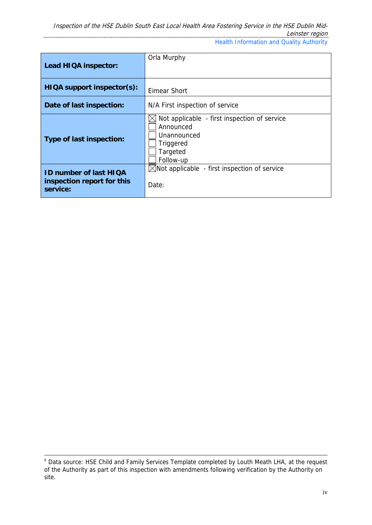| Lead HIQA inspector:                                                    | Orla Murphy                                                                                                    |
|-------------------------------------------------------------------------|----------------------------------------------------------------------------------------------------------------|
|                                                                         |                                                                                                                |
| HIQA support inspector(s):                                              | Eimear Short                                                                                                   |
| Date of last inspection:                                                | N/A First inspection of service                                                                                |
| Type of last inspection:                                                | Not applicable - first inspection of service<br>Announced<br>Unannounced<br>Triggered<br>Targeted<br>Follow-up |
| <b>ID number of last HIQA</b><br>inspection report for this<br>service: | $\boxtimes$ Not applicable - first inspection of service<br>Date:                                              |

‡ Data source: HSE Child and Family Services Template completed by Louth Meath LHA, at the request of the Authority as part of this inspection with amendments following verification by the Authority on site.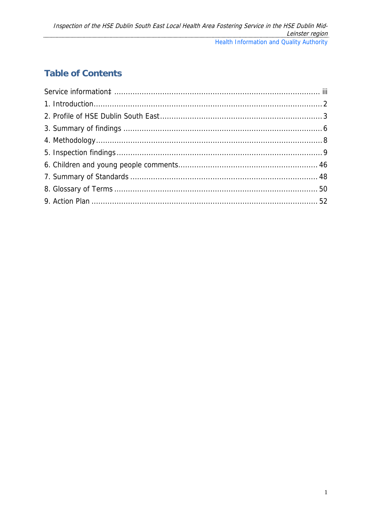# **Table of Contents**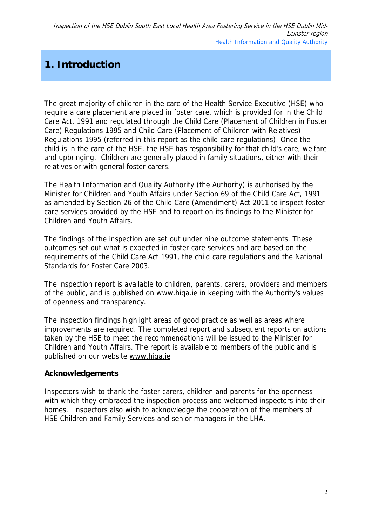# **1. Introduction**

The great majority of children in the care of the Health Service Executive (HSE) who require a care placement are placed in foster care, which is provided for in the Child Care Act, 1991 and regulated through the Child Care (Placement of Children in Foster Care) Regulations 1995 and Child Care (Placement of Children with Relatives) Regulations 1995 (referred in this report as the child care regulations). Once the child is in the care of the HSE, the HSE has responsibility for that child's care, welfare and upbringing. Children are generally placed in family situations, either with their relatives or with general foster carers.

The Health Information and Quality Authority (the Authority) is authorised by the Minister for Children and Youth Affairs under Section 69 of the Child Care Act, 1991 as amended by Section 26 of the Child Care (Amendment) Act 2011 to inspect foster care services provided by the HSE and to report on its findings to the Minister for Children and Youth Affairs.

The findings of the inspection are set out under nine outcome statements. These outcomes set out what is expected in foster care services and are based on the requirements of the Child Care Act 1991, the child care regulations and the National Standards for Foster Care 2003.

The inspection report is available to children, parents, carers, providers and members of the public, and is published on www.hiqa.ie in keeping with the Authority's values of openness and transparency.

The inspection findings highlight areas of good practice as well as areas where improvements are required. The completed report and subsequent reports on actions taken by the HSE to meet the recommendations will be issued to the Minister for Children and Youth Affairs. The report is available to members of the public and is published on our website www.hiqa.ie

# **Acknowledgements**

Inspectors wish to thank the foster carers, children and parents for the openness with which they embraced the inspection process and welcomed inspectors into their homes. Inspectors also wish to acknowledge the cooperation of the members of HSE Children and Family Services and senior managers in the LHA.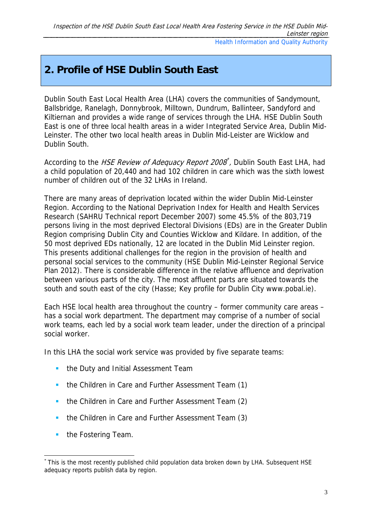# **2. Profile of HSE Dublin South East**

Dublin South East Local Health Area (LHA) covers the communities of Sandymount, Ballsbridge, Ranelagh, Donnybrook, Milltown, Dundrum, Ballinteer, Sandyford and Kiltiernan and provides a wide range of services through the LHA. HSE Dublin South East is one of three local health areas in a wider Integrated Service Area, Dublin Mid-Leinster. The other two local health areas in Dublin Mid-Leister are Wicklow and Dublin South.

According to the *HSE Review of Adequacy Report 2008*<sup>\*</sup>, Dublin South East LHA, had a child population of 20,440 and had 102 children in care which was the sixth lowest number of children out of the 32 LHAs in Ireland.

There are many areas of deprivation located within the wider Dublin Mid-Leinster Region. According to the National Deprivation Index for Health and Health Services Research (SAHRU Technical report December 2007) some 45.5% of the 803,719 persons living in the most deprived Electoral Divisions (EDs) are in the Greater Dublin Region comprising Dublin City and Counties Wicklow and Kildare. In addition, of the 50 most deprived EDs nationally, 12 are located in the Dublin Mid Leinster region. This presents additional challenges for the region in the provision of health and personal social services to the community (HSE Dublin Mid-Leinster Regional Service Plan 2012). There is considerable difference in the relative affluence and deprivation between various parts of the city. The most affluent parts are situated towards the south and south east of the city (Hasse; Key profile for Dublin City www.pobal.ie).

Each HSE local health area throughout the country – former community care areas – has a social work department. The department may comprise of a number of social work teams, each led by a social work team leader, under the direction of a principal social worker.

In this LHA the social work service was provided by five separate teams:

- **the Duty and Initial Assessment Team**
- **the Children in Care and Further Assessment Team (1)**
- **the Children in Care and Further Assessment Team (2)**
- **the Children in Care and Further Assessment Team (3)**
- **the Fostering Team.**

-

<sup>\*</sup> This is the most recently published child population data broken down by LHA. Subsequent HSE adequacy reports publish data by region.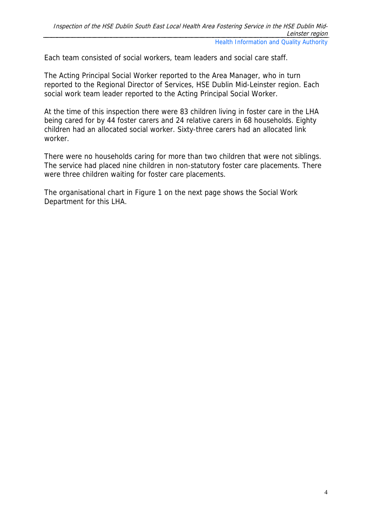Each team consisted of social workers, team leaders and social care staff.

The Acting Principal Social Worker reported to the Area Manager, who in turn reported to the Regional Director of Services, HSE Dublin Mid-Leinster region. Each social work team leader reported to the Acting Principal Social Worker.

At the time of this inspection there were 83 children living in foster care in the LHA being cared for by 44 foster carers and 24 relative carers in 68 households. Eighty children had an allocated social worker. Sixty-three carers had an allocated link worker.

There were no households caring for more than two children that were not siblings. The service had placed nine children in non-statutory foster care placements. There were three children waiting for foster care placements.

The organisational chart in Figure 1 on the next page shows the Social Work Department for this LHA.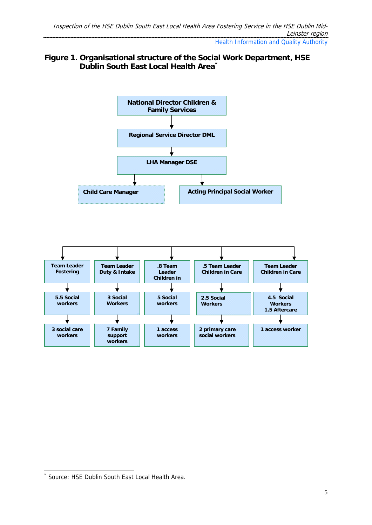# **Figure 1. Organisational structure of the Social Work Department, HSE Dublin South East Local Health Area\***



<sup>-</sup>\* Source: HSE Dublin South East Local Health Area.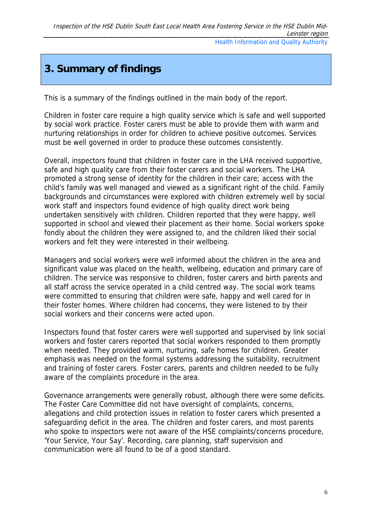# **3. Summary of findings**

This is a summary of the findings outlined in the main body of the report.

Children in foster care require a high quality service which is safe and well supported by social work practice. Foster carers must be able to provide them with warm and nurturing relationships in order for children to achieve positive outcomes. Services must be well governed in order to produce these outcomes consistently.

Overall, inspectors found that children in foster care in the LHA received supportive, safe and high quality care from their foster carers and social workers. The LHA promoted a strong sense of identity for the children in their care; access with the child's family was well managed and viewed as a significant right of the child. Family backgrounds and circumstances were explored with children extremely well by social work staff and inspectors found evidence of high quality direct work being undertaken sensitively with children. Children reported that they were happy, well supported in school and viewed their placement as their home. Social workers spoke fondly about the children they were assigned to, and the children liked their social workers and felt they were interested in their wellbeing.

Managers and social workers were well informed about the children in the area and significant value was placed on the health, wellbeing, education and primary care of children. The service was responsive to children, foster carers and birth parents and all staff across the service operated in a child centred way. The social work teams were committed to ensuring that children were safe, happy and well cared for in their foster homes. Where children had concerns, they were listened to by their social workers and their concerns were acted upon.

Inspectors found that foster carers were well supported and supervised by link social workers and foster carers reported that social workers responded to them promptly when needed. They provided warm, nurturing, safe homes for children. Greater emphasis was needed on the formal systems addressing the suitability, recruitment and training of foster carers. Foster carers, parents and children needed to be fully aware of the complaints procedure in the area.

Governance arrangements were generally robust, although there were some deficits. The Foster Care Committee did not have oversight of complaints, concerns, allegations and child protection issues in relation to foster carers which presented a safeguarding deficit in the area. The children and foster carers, and most parents who spoke to inspectors were not aware of the HSE complaints/concerns procedure, 'Your Service, Your Say'. Recording, care planning, staff supervision and communication were all found to be of a good standard.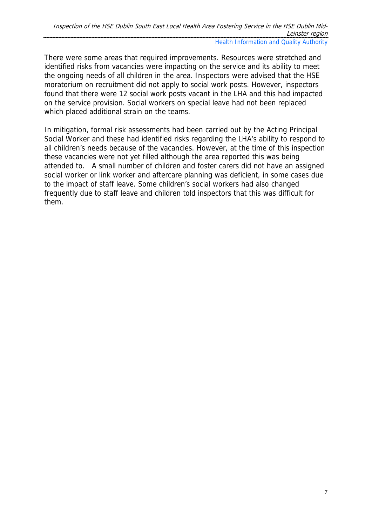There were some areas that required improvements. Resources were stretched and identified risks from vacancies were impacting on the service and its ability to meet the ongoing needs of all children in the area. Inspectors were advised that the HSE moratorium on recruitment did not apply to social work posts. However, inspectors found that there were 12 social work posts vacant in the LHA and this had impacted on the service provision. Social workers on special leave had not been replaced which placed additional strain on the teams.

In mitigation, formal risk assessments had been carried out by the Acting Principal Social Worker and these had identified risks regarding the LHA's ability to respond to all children's needs because of the vacancies. However, at the time of this inspection these vacancies were not yet filled although the area reported this was being attended to. A small number of children and foster carers did not have an assigned social worker or link worker and aftercare planning was deficient, in some cases due to the impact of staff leave. Some children's social workers had also changed frequently due to staff leave and children told inspectors that this was difficult for them.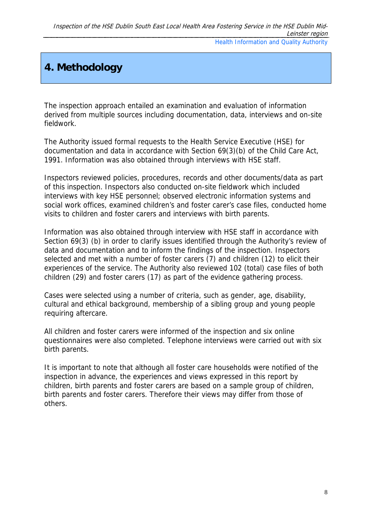# **4. Methodology**

The inspection approach entailed an examination and evaluation of information derived from multiple sources including documentation, data, interviews and on-site fieldwork.

The Authority issued formal requests to the Health Service Executive (HSE) for documentation and data in accordance with Section 69(3)(b) of the Child Care Act, 1991. Information was also obtained through interviews with HSE staff.

Inspectors reviewed policies, procedures, records and other documents/data as part of this inspection. Inspectors also conducted on-site fieldwork which included interviews with key HSE personnel; observed electronic information systems and social work offices, examined children's and foster carer's case files, conducted home visits to children and foster carers and interviews with birth parents.

Information was also obtained through interview with HSE staff in accordance with Section 69(3) (b) in order to clarify issues identified through the Authority's review of data and documentation and to inform the findings of the inspection. Inspectors selected and met with a number of foster carers (7) and children (12) to elicit their experiences of the service. The Authority also reviewed 102 (total) case files of both children (29) and foster carers (17) as part of the evidence gathering process.

Cases were selected using a number of criteria, such as gender, age, disability, cultural and ethical background, membership of a sibling group and young people requiring aftercare.

All children and foster carers were informed of the inspection and six online questionnaires were also completed. Telephone interviews were carried out with six birth parents.

It is important to note that although all foster care households were notified of the inspection in advance, the experiences and views expressed in this report by children, birth parents and foster carers are based on a sample group of children, birth parents and foster carers. Therefore their views may differ from those of others.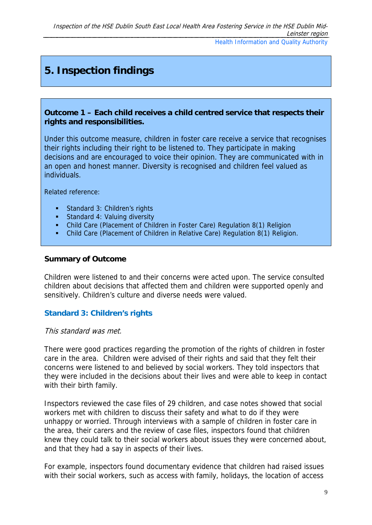# **5. Inspection findings**

### **Outcome 1 – Each child receives a child centred service that respects their rights and responsibilities.**

Under this outcome measure, children in foster care receive a service that recognises their rights including their right to be listened to. They participate in making decisions and are encouraged to voice their opinion. They are communicated with in an open and honest manner. Diversity is recognised and children feel valued as individuals.

Related reference:

- Standard 3: Children's rights
- **Standard 4: Valuing diversity**
- Child Care (Placement of Children in Foster Care) Regulation 8(1) Religion
- Child Care (Placement of Children in Relative Care) Regulation 8(1) Religion.

### **Summary of Outcome**

Children were listened to and their concerns were acted upon. The service consulted children about decisions that affected them and children were supported openly and sensitively. Children's culture and diverse needs were valued.

# **Standard 3: Children's rights**

#### This standard was met.

There were good practices regarding the promotion of the rights of children in foster care in the area. Children were advised of their rights and said that they felt their concerns were listened to and believed by social workers. They told inspectors that they were included in the decisions about their lives and were able to keep in contact with their birth family.

Inspectors reviewed the case files of 29 children, and case notes showed that social workers met with children to discuss their safety and what to do if they were unhappy or worried. Through interviews with a sample of children in foster care in the area, their carers and the review of case files, inspectors found that children knew they could talk to their social workers about issues they were concerned about, and that they had a say in aspects of their lives.

For example, inspectors found documentary evidence that children had raised issues with their social workers, such as access with family, holidays, the location of access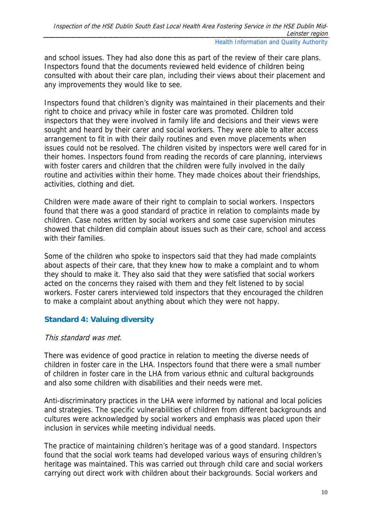and school issues. They had also done this as part of the review of their care plans. Inspectors found that the documents reviewed held evidence of children being consulted with about their care plan, including their views about their placement and any improvements they would like to see.

Inspectors found that children's dignity was maintained in their placements and their right to choice and privacy while in foster care was promoted. Children told inspectors that they were involved in family life and decisions and their views were sought and heard by their carer and social workers. They were able to alter access arrangement to fit in with their daily routines and even move placements when issues could not be resolved. The children visited by inspectors were well cared for in their homes. Inspectors found from reading the records of care planning, interviews with foster carers and children that the children were fully involved in the daily routine and activities within their home. They made choices about their friendships, activities, clothing and diet.

Children were made aware of their right to complain to social workers. Inspectors found that there was a good standard of practice in relation to complaints made by children. Case notes written by social workers and some case supervision minutes showed that children did complain about issues such as their care, school and access with their families

Some of the children who spoke to inspectors said that they had made complaints about aspects of their care, that they knew how to make a complaint and to whom they should to make it. They also said that they were satisfied that social workers acted on the concerns they raised with them and they felt listened to by social workers. Foster carers interviewed told inspectors that they encouraged the children to make a complaint about anything about which they were not happy.

# **Standard 4: Valuing diversity**

# This standard was met.

There was evidence of good practice in relation to meeting the diverse needs of children in foster care in the LHA. Inspectors found that there were a small number of children in foster care in the LHA from various ethnic and cultural backgrounds and also some children with disabilities and their needs were met.

Anti-discriminatory practices in the LHA were informed by national and local policies and strategies. The specific vulnerabilities of children from different backgrounds and cultures were acknowledged by social workers and emphasis was placed upon their inclusion in services while meeting individual needs.

The practice of maintaining children's heritage was of a good standard. Inspectors found that the social work teams had developed various ways of ensuring children's heritage was maintained. This was carried out through child care and social workers carrying out direct work with children about their backgrounds. Social workers and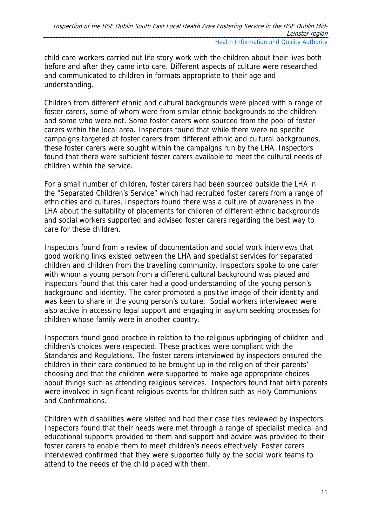child care workers carried out life story work with the children about their lives both before and after they came into care. Different aspects of culture were researched and communicated to children in formats appropriate to their age and understanding.

Children from different ethnic and cultural backgrounds were placed with a range of foster carers, some of whom were from similar ethnic backgrounds to the children and some who were not. Some foster carers were sourced from the pool of foster carers within the local area. Inspectors found that while there were no specific campaigns targeted at foster carers from different ethnic and cultural backgrounds, these foster carers were sought within the campaigns run by the LHA. Inspectors found that there were sufficient foster carers available to meet the cultural needs of children within the service.

For a small number of children, foster carers had been sourced outside the LHA in the "Separated Children's Service" which had recruited foster carers from a range of ethnicities and cultures. Inspectors found there was a culture of awareness in the LHA about the suitability of placements for children of different ethnic backgrounds and social workers supported and advised foster carers regarding the best way to care for these children.

Inspectors found from a review of documentation and social work interviews that good working links existed between the LHA and specialist services for separated children and children from the travelling community. Inspectors spoke to one carer with whom a young person from a different cultural background was placed and inspectors found that this carer had a good understanding of the young person's background and identity. The carer promoted a positive image of their identity and was keen to share in the young person's culture. Social workers interviewed were also active in accessing legal support and engaging in asylum seeking processes for children whose family were in another country.

Inspectors found good practice in relation to the religious upbringing of children and children's choices were respected. These practices were compliant with the Standards and Regulations. The foster carers interviewed by inspectors ensured the children in their care continued to be brought up in the religion of their parents' choosing and that the children were supported to make age appropriate choices about things such as attending religious services. Inspectors found that birth parents were involved in significant religious events for children such as Holy Communions and Confirmations.

Children with disabilities were visited and had their case files reviewed by inspectors. Inspectors found that their needs were met through a range of specialist medical and educational supports provided to them and support and advice was provided to their foster carers to enable them to meet children's needs effectively. Foster carers interviewed confirmed that they were supported fully by the social work teams to attend to the needs of the child placed with them.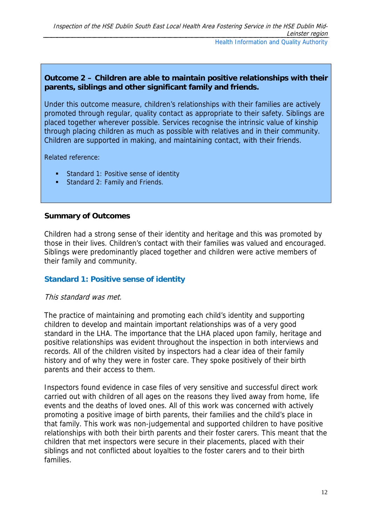# **Outcome 2 – Children are able to maintain positive relationships with their parents, siblings and other significant family and friends.**

Under this outcome measure, children's relationships with their families are actively promoted through regular, quality contact as appropriate to their safety. Siblings are placed together wherever possible. Services recognise the intrinsic value of kinship through placing children as much as possible with relatives and in their community. Children are supported in making, and maintaining contact, with their friends.

Related reference:

- Standard 1: Positive sense of identity
- Standard 2: Family and Friends.

### **Summary of Outcomes**

Children had a strong sense of their identity and heritage and this was promoted by those in their lives. Children's contact with their families was valued and encouraged. Siblings were predominantly placed together and children were active members of their family and community.

# **Standard 1: Positive sense of identity**

#### This standard was met.

The practice of maintaining and promoting each child's identity and supporting children to develop and maintain important relationships was of a very good standard in the LHA. The importance that the LHA placed upon family, heritage and positive relationships was evident throughout the inspection in both interviews and records. All of the children visited by inspectors had a clear idea of their family history and of why they were in foster care. They spoke positively of their birth parents and their access to them.

Inspectors found evidence in case files of very sensitive and successful direct work carried out with children of all ages on the reasons they lived away from home, life events and the deaths of loved ones. All of this work was concerned with actively promoting a positive image of birth parents, their families and the child's place in that family. This work was non-judgemental and supported children to have positive relationships with both their birth parents and their foster carers. This meant that the children that met inspectors were secure in their placements, placed with their siblings and not conflicted about loyalties to the foster carers and to their birth families.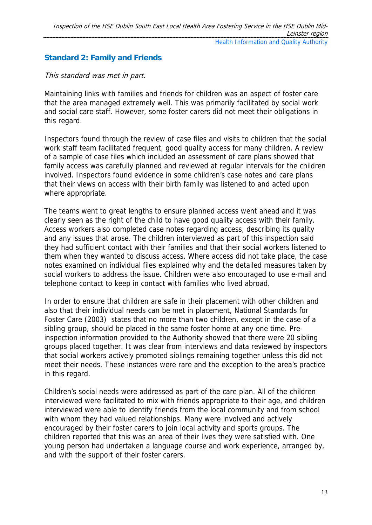# **Standard 2: Family and Friends**

### This standard was met in part.

Maintaining links with families and friends for children was an aspect of foster care that the area managed extremely well. This was primarily facilitated by social work and social care staff. However, some foster carers did not meet their obligations in this regard.

Inspectors found through the review of case files and visits to children that the social work staff team facilitated frequent, good quality access for many children. A review of a sample of case files which included an assessment of care plans showed that family access was carefully planned and reviewed at regular intervals for the children involved. Inspectors found evidence in some children's case notes and care plans that their views on access with their birth family was listened to and acted upon where appropriate.

The teams went to great lengths to ensure planned access went ahead and it was clearly seen as the right of the child to have good quality access with their family. Access workers also completed case notes regarding access, describing its quality and any issues that arose. The children interviewed as part of this inspection said they had sufficient contact with their families and that their social workers listened to them when they wanted to discuss access. Where access did not take place, the case notes examined on individual files explained why and the detailed measures taken by social workers to address the issue. Children were also encouraged to use e-mail and telephone contact to keep in contact with families who lived abroad.

In order to ensure that children are safe in their placement with other children and also that their individual needs can be met in placement, National Standards for Foster Care (2003) states that no more than two children, except in the case of a sibling group, should be placed in the same foster home at any one time. Preinspection information provided to the Authority showed that there were 20 sibling groups placed together. It was clear from interviews and data reviewed by inspectors that social workers actively promoted siblings remaining together unless this did not meet their needs. These instances were rare and the exception to the area's practice in this regard.

Children's social needs were addressed as part of the care plan. All of the children interviewed were facilitated to mix with friends appropriate to their age, and children interviewed were able to identify friends from the local community and from school with whom they had valued relationships. Many were involved and actively encouraged by their foster carers to join local activity and sports groups. The children reported that this was an area of their lives they were satisfied with. One young person had undertaken a language course and work experience, arranged by, and with the support of their foster carers.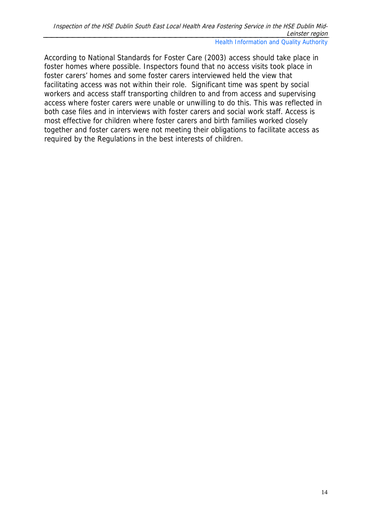According to National Standards for Foster Care (2003) access should take place in foster homes where possible. Inspectors found that no access visits took place in foster carers' homes and some foster carers interviewed held the view that facilitating access was not within their role. Significant time was spent by social workers and access staff transporting children to and from access and supervising access where foster carers were unable or unwilling to do this. This was reflected in both case files and in interviews with foster carers and social work staff. Access is most effective for children where foster carers and birth families worked closely together and foster carers were not meeting their obligations to facilitate access as required by the Regulations in the best interests of children.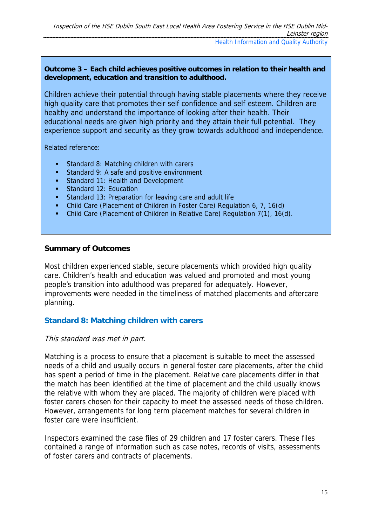#### **Outcome 3 – Each child achieves positive outcomes in relation to their health and development, education and transition to adulthood.**

Children achieve their potential through having stable placements where they receive high quality care that promotes their self confidence and self esteem. Children are healthy and understand the importance of looking after their health. Their educational needs are given high priority and they attain their full potential. They experience support and security as they grow towards adulthood and independence.

Related reference:

- **Standard 8: Matching children with carers**
- Standard 9: A safe and positive environment
- **Standard 11: Health and Development**
- **Standard 12: Education**
- **Standard 13: Preparation for leaving care and adult life**
- Child Care (Placement of Children in Foster Care) Regulation 6, 7, 16(d)
- Child Care (Placement of Children in Relative Care) Regulation 7(1), 16(d).

### **Summary of Outcomes**

Most children experienced stable, secure placements which provided high quality care. Children's health and education was valued and promoted and most young people's transition into adulthood was prepared for adequately. However, improvements were needed in the timeliness of matched placements and aftercare planning.

# **Standard 8: Matching children with carers**

#### This standard was met in part.

Matching is a process to ensure that a placement is suitable to meet the assessed needs of a child and usually occurs in general foster care placements, after the child has spent a period of time in the placement. Relative care placements differ in that the match has been identified at the time of placement and the child usually knows the relative with whom they are placed. The majority of children were placed with foster carers chosen for their capacity to meet the assessed needs of those children. However, arrangements for long term placement matches for several children in foster care were insufficient.

Inspectors examined the case files of 29 children and 17 foster carers. These files contained a range of information such as case notes, records of visits, assessments of foster carers and contracts of placements.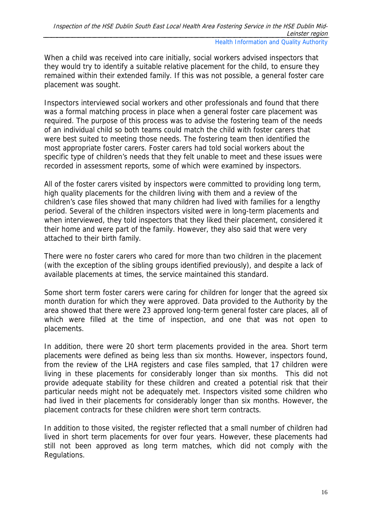When a child was received into care initially, social workers advised inspectors that they would try to identify a suitable relative placement for the child, to ensure they remained within their extended family. If this was not possible, a general foster care placement was sought.

Inspectors interviewed social workers and other professionals and found that there was a formal matching process in place when a general foster care placement was required. The purpose of this process was to advise the fostering team of the needs of an individual child so both teams could match the child with foster carers that were best suited to meeting those needs. The fostering team then identified the most appropriate foster carers. Foster carers had told social workers about the specific type of children's needs that they felt unable to meet and these issues were recorded in assessment reports, some of which were examined by inspectors.

All of the foster carers visited by inspectors were committed to providing long term, high quality placements for the children living with them and a review of the children's case files showed that many children had lived with families for a lengthy period. Several of the children inspectors visited were in long-term placements and when interviewed, they told inspectors that they liked their placement, considered it their home and were part of the family. However, they also said that were very attached to their birth family.

There were no foster carers who cared for more than two children in the placement (with the exception of the sibling groups identified previously), and despite a lack of available placements at times, the service maintained this standard.

Some short term foster carers were caring for children for longer that the agreed six month duration for which they were approved. Data provided to the Authority by the area showed that there were 23 approved long-term general foster care places, all of which were filled at the time of inspection, and one that was not open to placements.

In addition, there were 20 short term placements provided in the area. Short term placements were defined as being less than six months. However, inspectors found, from the review of the LHA registers and case files sampled, that 17 children were living in these placements for considerably longer than six months. This did not provide adequate stability for these children and created a potential risk that their particular needs might not be adequately met. Inspectors visited some children who had lived in their placements for considerably longer than six months. However, the placement contracts for these children were short term contracts.

In addition to those visited, the register reflected that a small number of children had lived in short term placements for over four years. However, these placements had still not been approved as long term matches, which did not comply with the Regulations.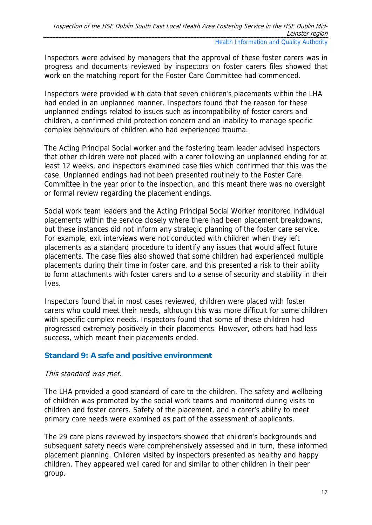Inspectors were advised by managers that the approval of these foster carers was in progress and documents reviewed by inspectors on foster carers files showed that work on the matching report for the Foster Care Committee had commenced.

Inspectors were provided with data that seven children's placements within the LHA had ended in an unplanned manner. Inspectors found that the reason for these unplanned endings related to issues such as incompatibility of foster carers and children, a confirmed child protection concern and an inability to manage specific complex behaviours of children who had experienced trauma.

The Acting Principal Social worker and the fostering team leader advised inspectors that other children were not placed with a carer following an unplanned ending for at least 12 weeks, and inspectors examined case files which confirmed that this was the case. Unplanned endings had not been presented routinely to the Foster Care Committee in the year prior to the inspection, and this meant there was no oversight or formal review regarding the placement endings.

Social work team leaders and the Acting Principal Social Worker monitored individual placements within the service closely where there had been placement breakdowns, but these instances did not inform any strategic planning of the foster care service. For example, exit interviews were not conducted with children when they left placements as a standard procedure to identify any issues that would affect future placements. The case files also showed that some children had experienced multiple placements during their time in foster care, and this presented a risk to their ability to form attachments with foster carers and to a sense of security and stability in their lives.

Inspectors found that in most cases reviewed, children were placed with foster carers who could meet their needs, although this was more difficult for some children with specific complex needs. Inspectors found that some of these children had progressed extremely positively in their placements. However, others had had less success, which meant their placements ended.

# **Standard 9: A safe and positive environment**

# This standard was met.

The LHA provided a good standard of care to the children. The safety and wellbeing of children was promoted by the social work teams and monitored during visits to children and foster carers. Safety of the placement, and a carer's ability to meet primary care needs were examined as part of the assessment of applicants.

The 29 care plans reviewed by inspectors showed that children's backgrounds and subsequent safety needs were comprehensively assessed and in turn, these informed placement planning. Children visited by inspectors presented as healthy and happy children. They appeared well cared for and similar to other children in their peer group.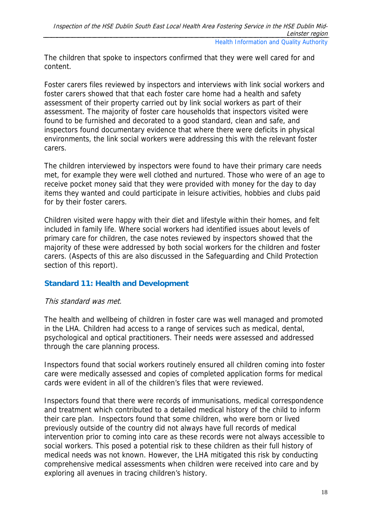The children that spoke to inspectors confirmed that they were well cared for and content.

Foster carers files reviewed by inspectors and interviews with link social workers and foster carers showed that that each foster care home had a health and safety assessment of their property carried out by link social workers as part of their assessment. The majority of foster care households that inspectors visited were found to be furnished and decorated to a good standard, clean and safe, and inspectors found documentary evidence that where there were deficits in physical environments, the link social workers were addressing this with the relevant foster carers.

The children interviewed by inspectors were found to have their primary care needs met, for example they were well clothed and nurtured. Those who were of an age to receive pocket money said that they were provided with money for the day to day items they wanted and could participate in leisure activities, hobbies and clubs paid for by their foster carers.

Children visited were happy with their diet and lifestyle within their homes, and felt included in family life. Where social workers had identified issues about levels of primary care for children, the case notes reviewed by inspectors showed that the majority of these were addressed by both social workers for the children and foster carers. (Aspects of this are also discussed in the Safeguarding and Child Protection section of this report).

# **Standard 11: Health and Development**

# This standard was met.

The health and wellbeing of children in foster care was well managed and promoted in the LHA. Children had access to a range of services such as medical, dental, psychological and optical practitioners. Their needs were assessed and addressed through the care planning process.

Inspectors found that social workers routinely ensured all children coming into foster care were medically assessed and copies of completed application forms for medical cards were evident in all of the children's files that were reviewed.

Inspectors found that there were records of immunisations, medical correspondence and treatment which contributed to a detailed medical history of the child to inform their care plan. Inspectors found that some children, who were born or lived previously outside of the country did not always have full records of medical intervention prior to coming into care as these records were not always accessible to social workers. This posed a potential risk to these children as their full history of medical needs was not known. However, the LHA mitigated this risk by conducting comprehensive medical assessments when children were received into care and by exploring all avenues in tracing children's history.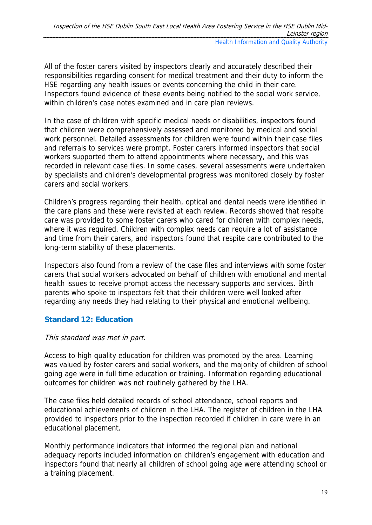All of the foster carers visited by inspectors clearly and accurately described their responsibilities regarding consent for medical treatment and their duty to inform the HSE regarding any health issues or events concerning the child in their care. Inspectors found evidence of these events being notified to the social work service, within children's case notes examined and in care plan reviews.

In the case of children with specific medical needs or disabilities, inspectors found that children were comprehensively assessed and monitored by medical and social work personnel. Detailed assessments for children were found within their case files and referrals to services were prompt. Foster carers informed inspectors that social workers supported them to attend appointments where necessary, and this was recorded in relevant case files. In some cases, several assessments were undertaken by specialists and children's developmental progress was monitored closely by foster carers and social workers.

Children's progress regarding their health, optical and dental needs were identified in the care plans and these were revisited at each review. Records showed that respite care was provided to some foster carers who cared for children with complex needs, where it was required. Children with complex needs can require a lot of assistance and time from their carers, and inspectors found that respite care contributed to the long-term stability of these placements.

Inspectors also found from a review of the case files and interviews with some foster carers that social workers advocated on behalf of children with emotional and mental health issues to receive prompt access the necessary supports and services. Birth parents who spoke to inspectors felt that their children were well looked after regarding any needs they had relating to their physical and emotional wellbeing.

# **Standard 12: Education**

# This standard was met in part.

Access to high quality education for children was promoted by the area. Learning was valued by foster carers and social workers, and the majority of children of school going age were in full time education or training. Information regarding educational outcomes for children was not routinely gathered by the LHA.

The case files held detailed records of school attendance, school reports and educational achievements of children in the LHA. The register of children in the LHA provided to inspectors prior to the inspection recorded if children in care were in an educational placement.

Monthly performance indicators that informed the regional plan and national adequacy reports included information on children's engagement with education and inspectors found that nearly all children of school going age were attending school or a training placement.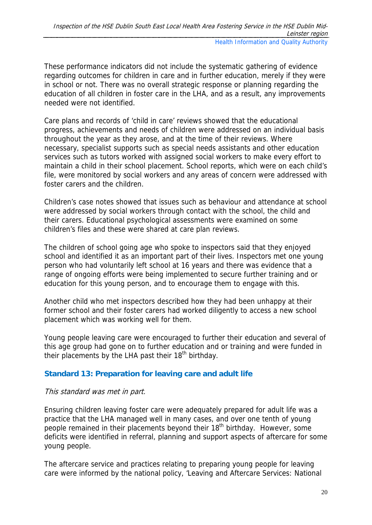These performance indicators did not include the systematic gathering of evidence regarding outcomes for children in care and in further education, merely if they were in school or not. There was no overall strategic response or planning regarding the education of all children in foster care in the LHA, and as a result, any improvements needed were not identified.

Care plans and records of 'child in care' reviews showed that the educational progress, achievements and needs of children were addressed on an individual basis throughout the year as they arose, and at the time of their reviews. Where necessary, specialist supports such as special needs assistants and other education services such as tutors worked with assigned social workers to make every effort to maintain a child in their school placement. School reports, which were on each child's file, were monitored by social workers and any areas of concern were addressed with foster carers and the children.

Children's case notes showed that issues such as behaviour and attendance at school were addressed by social workers through contact with the school, the child and their carers. Educational psychological assessments were examined on some children's files and these were shared at care plan reviews.

The children of school going age who spoke to inspectors said that they enjoyed school and identified it as an important part of their lives. Inspectors met one young person who had voluntarily left school at 16 years and there was evidence that a range of ongoing efforts were being implemented to secure further training and or education for this young person, and to encourage them to engage with this.

Another child who met inspectors described how they had been unhappy at their former school and their foster carers had worked diligently to access a new school placement which was working well for them.

Young people leaving care were encouraged to further their education and several of this age group had gone on to further education and or training and were funded in their placements by the LHA past their  $18<sup>th</sup>$  birthday.

# **Standard 13: Preparation for leaving care and adult life**

# This standard was met in part.

Ensuring children leaving foster care were adequately prepared for adult life was a practice that the LHA managed well in many cases, and over one tenth of young people remained in their placements beyond their 18<sup>th</sup> birthday. However, some deficits were identified in referral, planning and support aspects of aftercare for some young people.

The aftercare service and practices relating to preparing young people for leaving care were informed by the national policy, 'Leaving and Aftercare Services: National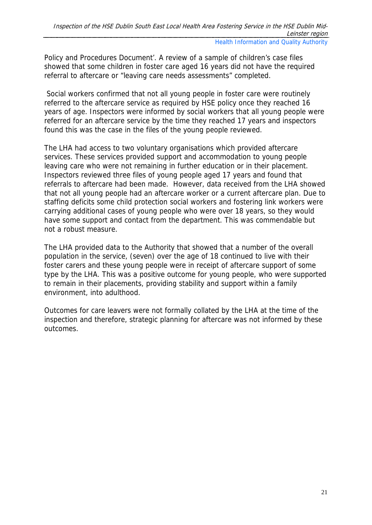Policy and Procedures Document'. A review of a sample of children's case files showed that some children in foster care aged 16 years did not have the required referral to aftercare or "leaving care needs assessments" completed.

 Social workers confirmed that not all young people in foster care were routinely referred to the aftercare service as required by HSE policy once they reached 16 years of age. Inspectors were informed by social workers that all young people were referred for an aftercare service by the time they reached 17 years and inspectors found this was the case in the files of the young people reviewed.

The LHA had access to two voluntary organisations which provided aftercare services. These services provided support and accommodation to young people leaving care who were not remaining in further education or in their placement. Inspectors reviewed three files of young people aged 17 years and found that referrals to aftercare had been made. However, data received from the LHA showed that not all young people had an aftercare worker or a current aftercare plan. Due to staffing deficits some child protection social workers and fostering link workers were carrying additional cases of young people who were over 18 years, so they would have some support and contact from the department. This was commendable but not a robust measure.

The LHA provided data to the Authority that showed that a number of the overall population in the service, (seven) over the age of 18 continued to live with their foster carers and these young people were in receipt of aftercare support of some type by the LHA. This was a positive outcome for young people, who were supported to remain in their placements, providing stability and support within a family environment, into adulthood.

Outcomes for care leavers were not formally collated by the LHA at the time of the inspection and therefore, strategic planning for aftercare was not informed by these outcomes.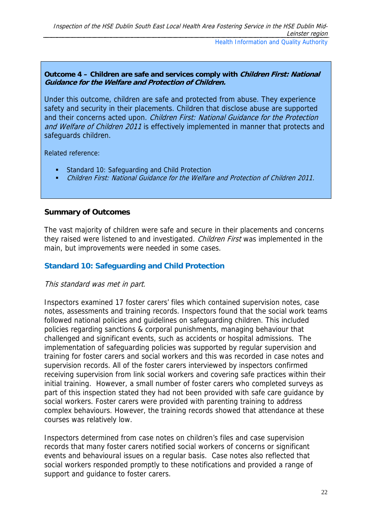#### **Outcome 4 – Children are safe and services comply with Children First: National Guidance for the Welfare and Protection of Children.**

Under this outcome, children are safe and protected from abuse. They experience safety and security in their placements. Children that disclose abuse are supported and their concerns acted upon. Children First: National Guidance for the Protection and Welfare of Children 2011 is effectively implemented in manner that protects and safeguards children.

Related reference:

- Standard 10: Safeguarding and Child Protection
- Children First: National Guidance for the Welfare and Protection of Children 2011.

# **Summary of Outcomes**

The vast majority of children were safe and secure in their placements and concerns they raised were listened to and investigated. Children First was implemented in the main, but improvements were needed in some cases.

# **Standard 10: Safeguarding and Child Protection**

# This standard was met in part.

Inspectors examined 17 foster carers' files which contained supervision notes, case notes, assessments and training records. Inspectors found that the social work teams followed national policies and guidelines on safeguarding children. This included policies regarding sanctions & corporal punishments, managing behaviour that challenged and significant events, such as accidents or hospital admissions. The implementation of safeguarding policies was supported by regular supervision and training for foster carers and social workers and this was recorded in case notes and supervision records. All of the foster carers interviewed by inspectors confirmed receiving supervision from link social workers and covering safe practices within their initial training. However, a small number of foster carers who completed surveys as part of this inspection stated they had not been provided with safe care guidance by social workers. Foster carers were provided with parenting training to address complex behaviours. However, the training records showed that attendance at these courses was relatively low.

Inspectors determined from case notes on children's files and case supervision records that many foster carers notified social workers of concerns or significant events and behavioural issues on a regular basis. Case notes also reflected that social workers responded promptly to these notifications and provided a range of support and guidance to foster carers.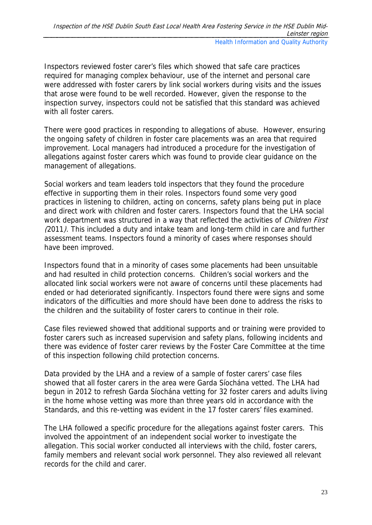Inspectors reviewed foster carer's files which showed that safe care practices required for managing complex behaviour, use of the internet and personal care were addressed with foster carers by link social workers during visits and the issues that arose were found to be well recorded. However, given the response to the inspection survey, inspectors could not be satisfied that this standard was achieved with all foster carers.

There were good practices in responding to allegations of abuse. However, ensuring the ongoing safety of children in foster care placements was an area that required improvement. Local managers had introduced a procedure for the investigation of allegations against foster carers which was found to provide clear guidance on the management of allegations.

Social workers and team leaders told inspectors that they found the procedure effective in supporting them in their roles. Inspectors found some very good practices in listening to children, acting on concerns, safety plans being put in place and direct work with children and foster carers. Inspectors found that the LHA social work department was structured in a way that reflected the activities of *Children First* (2011). This included a duty and intake team and long-term child in care and further assessment teams. Inspectors found a minority of cases where responses should have been improved.

Inspectors found that in a minority of cases some placements had been unsuitable and had resulted in child protection concerns. Children's social workers and the allocated link social workers were not aware of concerns until these placements had ended or had deteriorated significantly. Inspectors found there were signs and some indicators of the difficulties and more should have been done to address the risks to the children and the suitability of foster carers to continue in their role.

Case files reviewed showed that additional supports and or training were provided to foster carers such as increased supervision and safety plans, following incidents and there was evidence of foster carer reviews by the Foster Care Committee at the time of this inspection following child protection concerns.

Data provided by the LHA and a review of a sample of foster carers' case files showed that all foster carers in the area were Garda Síochána vetted. The LHA had begun in 2012 to refresh Garda Síochána vetting for 32 foster carers and adults living in the home whose vetting was more than three years old in accordance with the Standards, and this re-vetting was evident in the 17 foster carers' files examined.

The LHA followed a specific procedure for the allegations against foster carers. This involved the appointment of an independent social worker to investigate the allegation. This social worker conducted all interviews with the child, foster carers, family members and relevant social work personnel. They also reviewed all relevant records for the child and carer.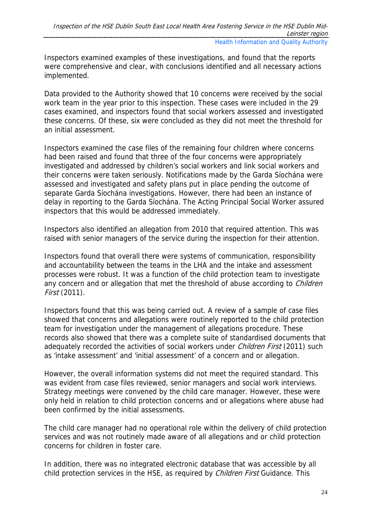Inspectors examined examples of these investigations, and found that the reports were comprehensive and clear, with conclusions identified and all necessary actions implemented.

Data provided to the Authority showed that 10 concerns were received by the social work team in the year prior to this inspection. These cases were included in the 29 cases examined, and inspectors found that social workers assessed and investigated these concerns. Of these, six were concluded as they did not meet the threshold for an initial assessment.

Inspectors examined the case files of the remaining four children where concerns had been raised and found that three of the four concerns were appropriately investigated and addressed by children's social workers and link social workers and their concerns were taken seriously. Notifications made by the Garda Síochána were assessed and investigated and safety plans put in place pending the outcome of separate Garda Síochána investigations. However, there had been an instance of delay in reporting to the Garda Síochána. The Acting Principal Social Worker assured inspectors that this would be addressed immediately.

Inspectors also identified an allegation from 2010 that required attention. This was raised with senior managers of the service during the inspection for their attention.

Inspectors found that overall there were systems of communication, responsibility and accountability between the teams in the LHA and the intake and assessment processes were robust. It was a function of the child protection team to investigate any concern and or allegation that met the threshold of abuse according to *Children* First (2011).

Inspectors found that this was being carried out. A review of a sample of case files showed that concerns and allegations were routinely reported to the child protection team for investigation under the management of allegations procedure. These records also showed that there was a complete suite of standardised documents that adequately recorded the activities of social workers under *Children First* (2011) such as 'intake assessment' and 'initial assessment' of a concern and or allegation.

However, the overall information systems did not meet the required standard. This was evident from case files reviewed, senior managers and social work interviews. Strategy meetings were convened by the child care manager. However, these were only held in relation to child protection concerns and or allegations where abuse had been confirmed by the initial assessments.

The child care manager had no operational role within the delivery of child protection services and was not routinely made aware of all allegations and or child protection concerns for children in foster care.

In addition, there was no integrated electronic database that was accessible by all child protection services in the HSE, as required by *Children First* Guidance. This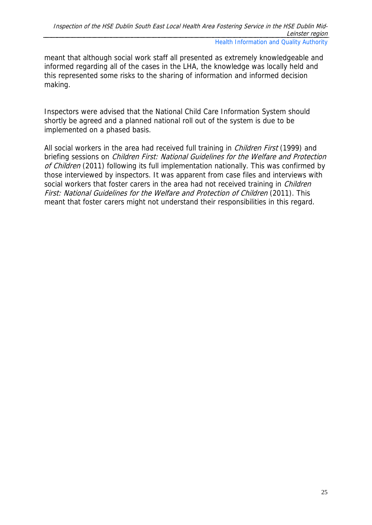meant that although social work staff all presented as extremely knowledgeable and informed regarding all of the cases in the LHA, the knowledge was locally held and this represented some risks to the sharing of information and informed decision making.

Inspectors were advised that the National Child Care Information System should shortly be agreed and a planned national roll out of the system is due to be implemented on a phased basis.

All social workers in the area had received full training in *Children First* (1999) and briefing sessions on *Children First: National Guidelines for the Welfare and Protection* of Children (2011) following its full implementation nationally. This was confirmed by those interviewed by inspectors. It was apparent from case files and interviews with social workers that foster carers in the area had not received training in *Children* First: National Guidelines for the Welfare and Protection of Children (2011). This meant that foster carers might not understand their responsibilities in this regard.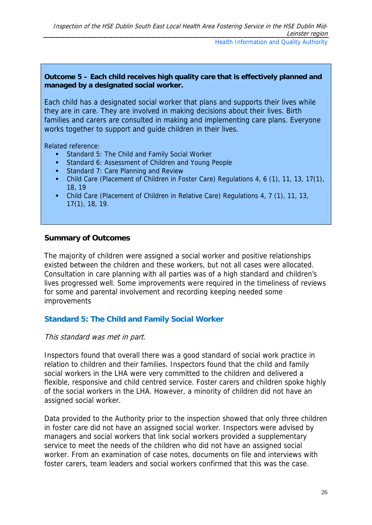Each child has a designated social worker that plans and supports their lives while they are in care. They are involved in making decisions about their lives. Birth families and carers are consulted in making and implementing care plans. Everyone works together to support and guide children in their lives.

Related reference:

- Standard 5: The Child and Family Social Worker
- **Standard 6: Assessment of Children and Young People**
- **Standard 7: Care Planning and Review**
- Child Care (Placement of Children in Foster Care) Regulations 4, 6 (1), 11, 13, 17(1), 18, 19
- Child Care (Placement of Children in Relative Care) Regulations 4, 7 (1), 11, 13, 17(1), 18, 19.

### **Summary of Outcomes**

The majority of children were assigned a social worker and positive relationships existed between the children and these workers, but not all cases were allocated. Consultation in care planning with all parties was of a high standard and children's lives progressed well. Some improvements were required in the timeliness of reviews for some and parental involvement and recording keeping needed some improvements

# **Standard 5: The Child and Family Social Worker**

#### This standard was met in part.

Inspectors found that overall there was a good standard of social work practice in relation to children and their families. Inspectors found that the child and family social workers in the LHA were very committed to the children and delivered a flexible, responsive and child centred service. Foster carers and children spoke highly of the social workers in the LHA. However, a minority of children did not have an assigned social worker.

Data provided to the Authority prior to the inspection showed that only three children in foster care did not have an assigned social worker. Inspectors were advised by managers and social workers that link social workers provided a supplementary service to meet the needs of the children who did not have an assigned social worker. From an examination of case notes, documents on file and interviews with foster carers, team leaders and social workers confirmed that this was the case.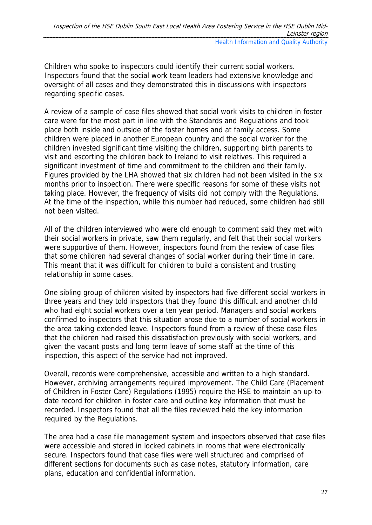Children who spoke to inspectors could identify their current social workers. Inspectors found that the social work team leaders had extensive knowledge and oversight of all cases and they demonstrated this in discussions with inspectors regarding specific cases.

A review of a sample of case files showed that social work visits to children in foster care were for the most part in line with the Standards and Regulations and took place both inside and outside of the foster homes and at family access. Some children were placed in another European country and the social worker for the children invested significant time visiting the children, supporting birth parents to visit and escorting the children back to Ireland to visit relatives. This required a significant investment of time and commitment to the children and their family. Figures provided by the LHA showed that six children had not been visited in the six months prior to inspection. There were specific reasons for some of these visits not taking place. However, the frequency of visits did not comply with the Regulations. At the time of the inspection, while this number had reduced, some children had still not been visited.

All of the children interviewed who were old enough to comment said they met with their social workers in private, saw them regularly, and felt that their social workers were supportive of them. However, inspectors found from the review of case files that some children had several changes of social worker during their time in care. This meant that it was difficult for children to build a consistent and trusting relationship in some cases.

One sibling group of children visited by inspectors had five different social workers in three years and they told inspectors that they found this difficult and another child who had eight social workers over a ten year period. Managers and social workers confirmed to inspectors that this situation arose due to a number of social workers in the area taking extended leave. Inspectors found from a review of these case files that the children had raised this dissatisfaction previously with social workers, and given the vacant posts and long term leave of some staff at the time of this inspection, this aspect of the service had not improved.

Overall, records were comprehensive, accessible and written to a high standard. However, archiving arrangements required improvement. The Child Care (Placement of Children in Foster Care) Regulations (1995) require the HSE to maintain an up-todate record for children in foster care and outline key information that must be recorded. Inspectors found that all the files reviewed held the key information required by the Regulations.

The area had a case file management system and inspectors observed that case files were accessible and stored in locked cabinets in rooms that were electronically secure. Inspectors found that case files were well structured and comprised of different sections for documents such as case notes, statutory information, care plans, education and confidential information.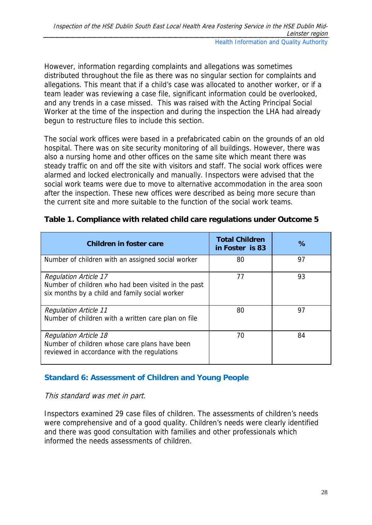However, information regarding complaints and allegations was sometimes distributed throughout the file as there was no singular section for complaints and allegations. This meant that if a child's case was allocated to another worker, or if a team leader was reviewing a case file, significant information could be overlooked, and any trends in a case missed. This was raised with the Acting Principal Social Worker at the time of the inspection and during the inspection the LHA had already begun to restructure files to include this section.

The social work offices were based in a prefabricated cabin on the grounds of an old hospital. There was on site security monitoring of all buildings. However, there was also a nursing home and other offices on the same site which meant there was steady traffic on and off the site with visitors and staff. The social work offices were alarmed and locked electronically and manually. Inspectors were advised that the social work teams were due to move to alternative accommodation in the area soon after the inspection. These new offices were described as being more secure than the current site and more suitable to the function of the social work teams.

| Children in foster care                                                                                                               | <b>Total Children</b><br>in Foster is 83 | $\%$ |
|---------------------------------------------------------------------------------------------------------------------------------------|------------------------------------------|------|
| Number of children with an assigned social worker                                                                                     | 80                                       | 97   |
| <b>Regulation Article 17</b><br>Number of children who had been visited in the past<br>six months by a child and family social worker | 77                                       | 93   |
| <b>Regulation Article 11</b><br>Number of children with a written care plan on file                                                   | 80                                       | 97   |
| <b>Regulation Article 18</b><br>Number of children whose care plans have been<br>reviewed in accordance with the regulations          | 70                                       | 84   |

# **Table 1. Compliance with related child care regulations under Outcome 5**

# **Standard 6: Assessment of Children and Young People**

# This standard was met in part.

Inspectors examined 29 case files of children. The assessments of children's needs were comprehensive and of a good quality. Children's needs were clearly identified and there was good consultation with families and other professionals which informed the needs assessments of children.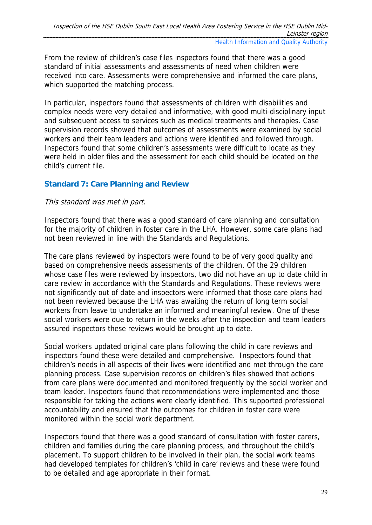From the review of children's case files inspectors found that there was a good standard of initial assessments and assessments of need when children were received into care. Assessments were comprehensive and informed the care plans, which supported the matching process.

In particular, inspectors found that assessments of children with disabilities and complex needs were very detailed and informative, with good multi-disciplinary input and subsequent access to services such as medical treatments and therapies. Case supervision records showed that outcomes of assessments were examined by social workers and their team leaders and actions were identified and followed through. Inspectors found that some children's assessments were difficult to locate as they were held in older files and the assessment for each child should be located on the child's current file.

# **Standard 7: Care Planning and Review**

# This standard was met in part.

Inspectors found that there was a good standard of care planning and consultation for the majority of children in foster care in the LHA. However, some care plans had not been reviewed in line with the Standards and Regulations.

The care plans reviewed by inspectors were found to be of very good quality and based on comprehensive needs assessments of the children. Of the 29 children whose case files were reviewed by inspectors, two did not have an up to date child in care review in accordance with the Standards and Regulations. These reviews were not significantly out of date and inspectors were informed that those care plans had not been reviewed because the LHA was awaiting the return of long term social workers from leave to undertake an informed and meaningful review. One of these social workers were due to return in the weeks after the inspection and team leaders assured inspectors these reviews would be brought up to date.

Social workers updated original care plans following the child in care reviews and inspectors found these were detailed and comprehensive. Inspectors found that children's needs in all aspects of their lives were identified and met through the care planning process. Case supervision records on children's files showed that actions from care plans were documented and monitored frequently by the social worker and team leader. Inspectors found that recommendations were implemented and those responsible for taking the actions were clearly identified. This supported professional accountability and ensured that the outcomes for children in foster care were monitored within the social work department.

Inspectors found that there was a good standard of consultation with foster carers, children and families during the care planning process, and throughout the child's placement. To support children to be involved in their plan, the social work teams had developed templates for children's 'child in care' reviews and these were found to be detailed and age appropriate in their format.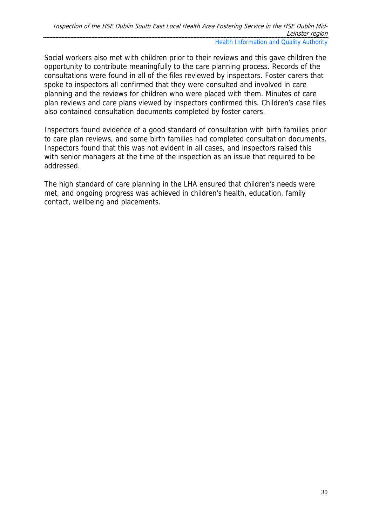Social workers also met with children prior to their reviews and this gave children the opportunity to contribute meaningfully to the care planning process. Records of the consultations were found in all of the files reviewed by inspectors. Foster carers that spoke to inspectors all confirmed that they were consulted and involved in care planning and the reviews for children who were placed with them. Minutes of care plan reviews and care plans viewed by inspectors confirmed this. Children's case files also contained consultation documents completed by foster carers.

Inspectors found evidence of a good standard of consultation with birth families prior to care plan reviews, and some birth families had completed consultation documents. Inspectors found that this was not evident in all cases, and inspectors raised this with senior managers at the time of the inspection as an issue that required to be addressed.

The high standard of care planning in the LHA ensured that children's needs were met, and ongoing progress was achieved in children's health, education, family contact, wellbeing and placements.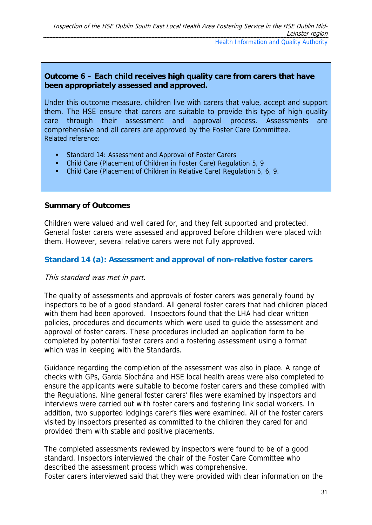# **Outcome 6 – Each child receives high quality care from carers that have been appropriately assessed and approved.**

Under this outcome measure, children live with carers that value, accept and support them. The HSE ensure that carers are suitable to provide this type of high quality care through their assessment and approval process. Assessments are comprehensive and all carers are approved by the Foster Care Committee. Related reference:

- **Standard 14: Assessment and Approval of Foster Carers**
- Child Care (Placement of Children in Foster Care) Regulation 5, 9
- Child Care (Placement of Children in Relative Care) Regulation 5, 6, 9.

#### **Summary of Outcomes**

Children were valued and well cared for, and they felt supported and protected. General foster carers were assessed and approved before children were placed with them. However, several relative carers were not fully approved.

### **Standard 14 (a): Assessment and approval of non-relative foster carers**

#### This standard was met in part.

The quality of assessments and approvals of foster carers was generally found by inspectors to be of a good standard. All general foster carers that had children placed with them had been approved. Inspectors found that the LHA had clear written policies, procedures and documents which were used to guide the assessment and approval of foster carers. These procedures included an application form to be completed by potential foster carers and a fostering assessment using a format which was in keeping with the Standards.

Guidance regarding the completion of the assessment was also in place. A range of checks with GPs, Garda Síochána and HSE local health areas were also completed to ensure the applicants were suitable to become foster carers and these complied with the Regulations. Nine general foster carers' files were examined by inspectors and interviews were carried out with foster carers and fostering link social workers. In addition, two supported lodgings carer's files were examined. All of the foster carers visited by inspectors presented as committed to the children they cared for and provided them with stable and positive placements.

The completed assessments reviewed by inspectors were found to be of a good standard. Inspectors interviewed the chair of the Foster Care Committee who described the assessment process which was comprehensive. Foster carers interviewed said that they were provided with clear information on the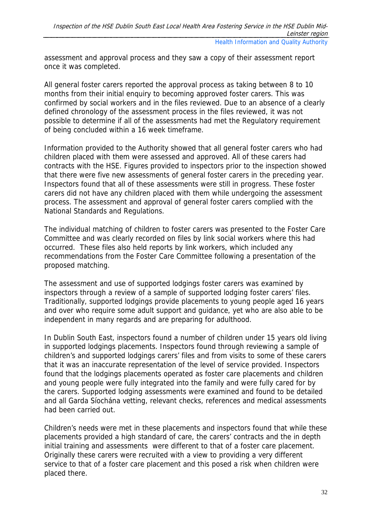assessment and approval process and they saw a copy of their assessment report once it was completed.

All general foster carers reported the approval process as taking between 8 to 10 months from their initial enquiry to becoming approved foster carers. This was confirmed by social workers and in the files reviewed. Due to an absence of a clearly defined chronology of the assessment process in the files reviewed, it was not possible to determine if all of the assessments had met the Regulatory requirement of being concluded within a 16 week timeframe.

Information provided to the Authority showed that all general foster carers who had children placed with them were assessed and approved. All of these carers had contracts with the HSE. Figures provided to inspectors prior to the inspection showed that there were five new assessments of general foster carers in the preceding year. Inspectors found that all of these assessments were still in progress. These foster carers did not have any children placed with them while undergoing the assessment process. The assessment and approval of general foster carers complied with the National Standards and Regulations.

The individual matching of children to foster carers was presented to the Foster Care Committee and was clearly recorded on files by link social workers where this had occurred. These files also held reports by link workers, which included any recommendations from the Foster Care Committee following a presentation of the proposed matching.

The assessment and use of supported lodgings foster carers was examined by inspectors through a review of a sample of supported lodging foster carers' files. Traditionally, supported lodgings provide placements to young people aged 16 years and over who require some adult support and guidance, yet who are also able to be independent in many regards and are preparing for adulthood.

In Dublin South East, inspectors found a number of children under 15 years old living in supported lodgings placements. Inspectors found through reviewing a sample of children's and supported lodgings carers' files and from visits to some of these carers that it was an inaccurate representation of the level of service provided. Inspectors found that the lodgings placements operated as foster care placements and children and young people were fully integrated into the family and were fully cared for by the carers. Supported lodging assessments were examined and found to be detailed and all Garda Síochána vetting, relevant checks, references and medical assessments had been carried out.

Children's needs were met in these placements and inspectors found that while these placements provided a high standard of care, the carers' contracts and the in depth initial training and assessments were different to that of a foster care placement. Originally these carers were recruited with a view to providing a very different service to that of a foster care placement and this posed a risk when children were placed there.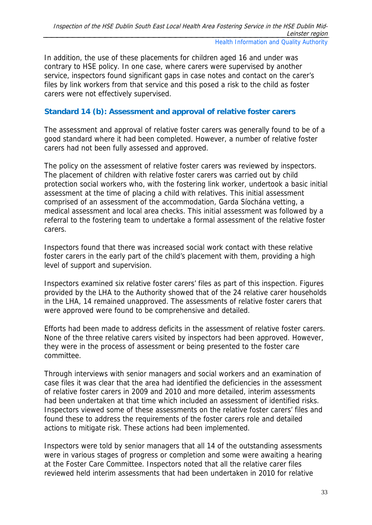In addition, the use of these placements for children aged 16 and under was contrary to HSE policy. In one case, where carers were supervised by another service, inspectors found significant gaps in case notes and contact on the carer's files by link workers from that service and this posed a risk to the child as foster carers were not effectively supervised.

# **Standard 14 (b): Assessment and approval of relative foster carers**

The assessment and approval of relative foster carers was generally found to be of a good standard where it had been completed. However, a number of relative foster carers had not been fully assessed and approved.

The policy on the assessment of relative foster carers was reviewed by inspectors. The placement of children with relative foster carers was carried out by child protection social workers who, with the fostering link worker, undertook a basic initial assessment at the time of placing a child with relatives. This initial assessment comprised of an assessment of the accommodation, Garda Síochána vetting, a medical assessment and local area checks. This initial assessment was followed by a referral to the fostering team to undertake a formal assessment of the relative foster carers.

Inspectors found that there was increased social work contact with these relative foster carers in the early part of the child's placement with them, providing a high level of support and supervision.

Inspectors examined six relative foster carers' files as part of this inspection. Figures provided by the LHA to the Authority showed that of the 24 relative carer households in the LHA, 14 remained unapproved. The assessments of relative foster carers that were approved were found to be comprehensive and detailed.

Efforts had been made to address deficits in the assessment of relative foster carers. None of the three relative carers visited by inspectors had been approved. However, they were in the process of assessment or being presented to the foster care committee.

Through interviews with senior managers and social workers and an examination of case files it was clear that the area had identified the deficiencies in the assessment of relative foster carers in 2009 and 2010 and more detailed, interim assessments had been undertaken at that time which included an assessment of identified risks. Inspectors viewed some of these assessments on the relative foster carers' files and found these to address the requirements of the foster carers role and detailed actions to mitigate risk. These actions had been implemented.

Inspectors were told by senior managers that all 14 of the outstanding assessments were in various stages of progress or completion and some were awaiting a hearing at the Foster Care Committee. Inspectors noted that all the relative carer files reviewed held interim assessments that had been undertaken in 2010 for relative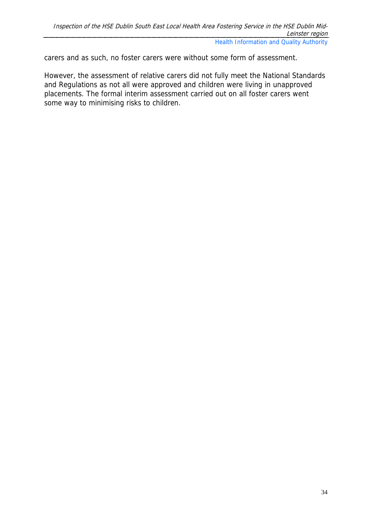carers and as such, no foster carers were without some form of assessment.

However, the assessment of relative carers did not fully meet the National Standards and Regulations as not all were approved and children were living in unapproved placements. The formal interim assessment carried out on all foster carers went some way to minimising risks to children.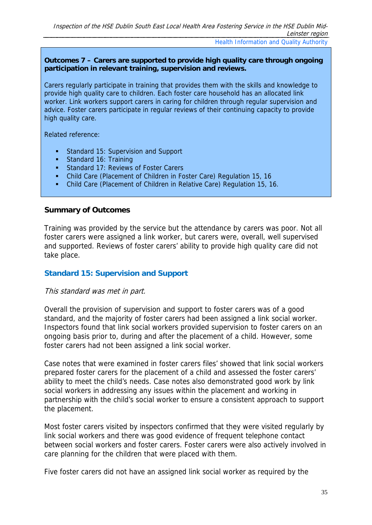#### **Outcomes 7 – Carers are supported to provide high quality care through ongoing participation in relevant training, supervision and reviews.**

Carers regularly participate in training that provides them with the skills and knowledge to provide high quality care to children. Each foster care household has an allocated link worker. Link workers support carers in caring for children through regular supervision and advice. Foster carers participate in regular reviews of their continuing capacity to provide high quality care.

Related reference:

- Standard 15: Supervision and Support
- Standard 16: Training
- **Standard 17: Reviews of Foster Carers**
- Child Care (Placement of Children in Foster Care) Regulation 15, 16
- Child Care (Placement of Children in Relative Care) Regulation 15, 16.

#### **Summary of Outcomes**

Training was provided by the service but the attendance by carers was poor. Not all foster carers were assigned a link worker, but carers were, overall, well supervised and supported. Reviews of foster carers' ability to provide high quality care did not take place.

# **Standard 15: Supervision and Support**

#### This standard was met in part.

Overall the provision of supervision and support to foster carers was of a good standard, and the majority of foster carers had been assigned a link social worker. Inspectors found that link social workers provided supervision to foster carers on an ongoing basis prior to, during and after the placement of a child. However, some foster carers had not been assigned a link social worker.

Case notes that were examined in foster carers files' showed that link social workers prepared foster carers for the placement of a child and assessed the foster carers' ability to meet the child's needs. Case notes also demonstrated good work by link social workers in addressing any issues within the placement and working in partnership with the child's social worker to ensure a consistent approach to support the placement.

Most foster carers visited by inspectors confirmed that they were visited regularly by link social workers and there was good evidence of frequent telephone contact between social workers and foster carers. Foster carers were also actively involved in care planning for the children that were placed with them.

Five foster carers did not have an assigned link social worker as required by the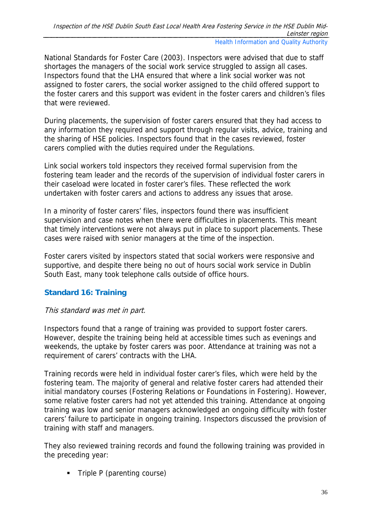National Standards for Foster Care (2003). Inspectors were advised that due to staff shortages the managers of the social work service struggled to assign all cases. Inspectors found that the LHA ensured that where a link social worker was not assigned to foster carers, the social worker assigned to the child offered support to the foster carers and this support was evident in the foster carers and children's files that were reviewed.

During placements, the supervision of foster carers ensured that they had access to any information they required and support through regular visits, advice, training and the sharing of HSE policies. Inspectors found that in the cases reviewed, foster carers complied with the duties required under the Regulations.

Link social workers told inspectors they received formal supervision from the fostering team leader and the records of the supervision of individual foster carers in their caseload were located in foster carer's files. These reflected the work undertaken with foster carers and actions to address any issues that arose.

In a minority of foster carers' files, inspectors found there was insufficient supervision and case notes when there were difficulties in placements. This meant that timely interventions were not always put in place to support placements. These cases were raised with senior managers at the time of the inspection.

Foster carers visited by inspectors stated that social workers were responsive and supportive, and despite there being no out of hours social work service in Dublin South East, many took telephone calls outside of office hours.

# **Standard 16: Training**

# This standard was met in part.

Inspectors found that a range of training was provided to support foster carers. However, despite the training being held at accessible times such as evenings and weekends, the uptake by foster carers was poor. Attendance at training was not a requirement of carers' contracts with the LHA.

Training records were held in individual foster carer's files, which were held by the fostering team. The majority of general and relative foster carers had attended their initial mandatory courses (Fostering Relations or Foundations in Fostering). However, some relative foster carers had not yet attended this training. Attendance at ongoing training was low and senior managers acknowledged an ongoing difficulty with foster carers' failure to participate in ongoing training. Inspectors discussed the provision of training with staff and managers.

They also reviewed training records and found the following training was provided in the preceding year:

• Triple P (parenting course)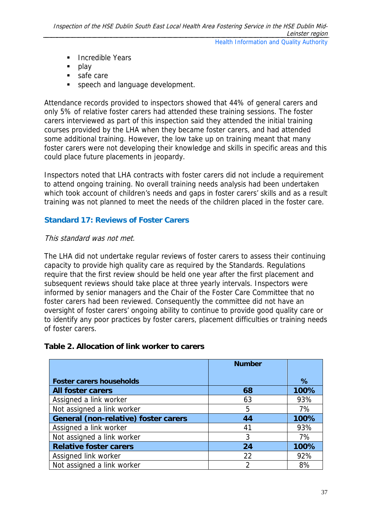- **Incredible Years**
- play
- safe care
- **speech and language development.**

Attendance records provided to inspectors showed that 44% of general carers and only 5% of relative foster carers had attended these training sessions. The foster carers interviewed as part of this inspection said they attended the initial training courses provided by the LHA when they became foster carers, and had attended some additional training. However, the low take up on training meant that many foster carers were not developing their knowledge and skills in specific areas and this could place future placements in jeopardy.

Inspectors noted that LHA contracts with foster carers did not include a requirement to attend ongoing training. No overall training needs analysis had been undertaken which took account of children's needs and gaps in foster carers' skills and as a result training was not planned to meet the needs of the children placed in the foster care.

### **Standard 17: Reviews of Foster Carers**

#### This standard was not met.

The LHA did not undertake regular reviews of foster carers to assess their continuing capacity to provide high quality care as required by the Standards. Regulations require that the first review should be held one year after the first placement and subsequent reviews should take place at three yearly intervals. Inspectors were informed by senior managers and the Chair of the Foster Care Committee that no foster carers had been reviewed. Consequently the committee did not have an oversight of foster carers' ongoing ability to continue to provide good quality care or to identify any poor practices by foster carers, placement difficulties or training needs of foster carers.

#### **Table 2. Allocation of link worker to carers**

|                                             | <b>Number</b> |      |
|---------------------------------------------|---------------|------|
| <b>Foster carers households</b>             |               | %    |
| <b>All foster carers</b>                    | 68            | 100% |
| Assigned a link worker                      | 63            | 93%  |
| Not assigned a link worker                  | 5             | 7%   |
| <b>General (non-relative) foster carers</b> | 44            | 100% |
| Assigned a link worker                      | 41            | 93%  |
| Not assigned a link worker                  | 3             | 7%   |
| <b>Relative foster carers</b>               | 24            | 100% |
| Assigned link worker                        | 22            | 92%  |
| Not assigned a link worker                  | 2             | 8%   |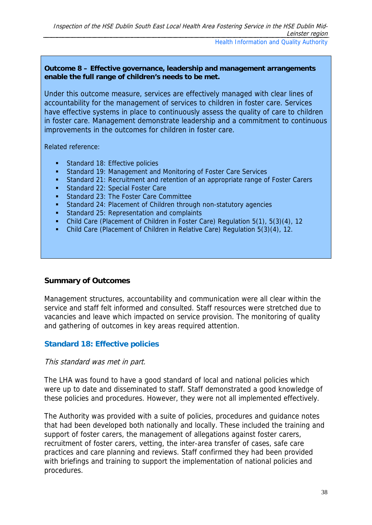Under this outcome measure, services are effectively managed with clear lines of accountability for the management of services to children in foster care. Services have effective systems in place to continuously assess the quality of care to children in foster care. Management demonstrate leadership and a commitment to continuous improvements in the outcomes for children in foster care.

Related reference:

- Standard 18: Effective policies
- Standard 19: Management and Monitoring of Foster Care Services
- Standard 21: Recruitment and retention of an appropriate range of Foster Carers
- Standard 22: Special Foster Care
- **Standard 23: The Foster Care Committee**
- Standard 24: Placement of Children through non-statutory agencies
- Standard 25: Representation and complaints
- Child Care (Placement of Children in Foster Care) Regulation 5(1), 5(3)(4), 12
- Child Care (Placement of Children in Relative Care) Regulation 5(3)(4), 12.

#### **Summary of Outcomes**

Management structures, accountability and communication were all clear within the service and staff felt informed and consulted. Staff resources were stretched due to vacancies and leave which impacted on service provision. The monitoring of quality and gathering of outcomes in key areas required attention.

# **Standard 18: Effective policies**

#### This standard was met in part.

The LHA was found to have a good standard of local and national policies which were up to date and disseminated to staff. Staff demonstrated a good knowledge of these policies and procedures. However, they were not all implemented effectively.

The Authority was provided with a suite of policies, procedures and guidance notes that had been developed both nationally and locally. These included the training and support of foster carers, the management of allegations against foster carers, recruitment of foster carers, vetting, the inter-area transfer of cases, safe care practices and care planning and reviews. Staff confirmed they had been provided with briefings and training to support the implementation of national policies and procedures.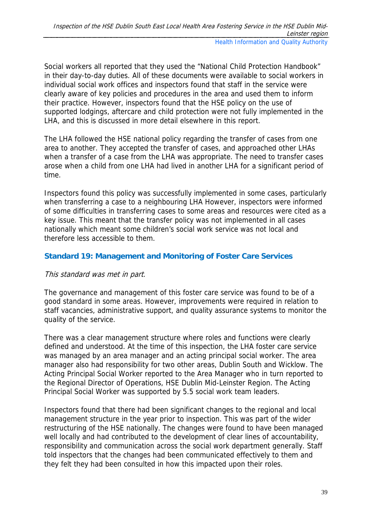Social workers all reported that they used the "National Child Protection Handbook" in their day-to-day duties. All of these documents were available to social workers in individual social work offices and inspectors found that staff in the service were clearly aware of key policies and procedures in the area and used them to inform their practice. However, inspectors found that the HSE policy on the use of supported lodgings, aftercare and child protection were not fully implemented in the LHA, and this is discussed in more detail elsewhere in this report.

The LHA followed the HSE national policy regarding the transfer of cases from one area to another. They accepted the transfer of cases, and approached other LHAs when a transfer of a case from the LHA was appropriate. The need to transfer cases arose when a child from one LHA had lived in another LHA for a significant period of time.

Inspectors found this policy was successfully implemented in some cases, particularly when transferring a case to a neighbouring LHA However, inspectors were informed of some difficulties in transferring cases to some areas and resources were cited as a key issue. This meant that the transfer policy was not implemented in all cases nationally which meant some children's social work service was not local and therefore less accessible to them.

# **Standard 19: Management and Monitoring of Foster Care Services**

# This standard was met in part.

The governance and management of this foster care service was found to be of a good standard in some areas. However, improvements were required in relation to staff vacancies, administrative support, and quality assurance systems to monitor the quality of the service.

There was a clear management structure where roles and functions were clearly defined and understood. At the time of this inspection, the LHA foster care service was managed by an area manager and an acting principal social worker. The area manager also had responsibility for two other areas, Dublin South and Wicklow. The Acting Principal Social Worker reported to the Area Manager who in turn reported to the Regional Director of Operations, HSE Dublin Mid-Leinster Region. The Acting Principal Social Worker was supported by 5.5 social work team leaders.

Inspectors found that there had been significant changes to the regional and local management structure in the year prior to inspection. This was part of the wider restructuring of the HSE nationally. The changes were found to have been managed well locally and had contributed to the development of clear lines of accountability, responsibility and communication across the social work department generally. Staff told inspectors that the changes had been communicated effectively to them and they felt they had been consulted in how this impacted upon their roles.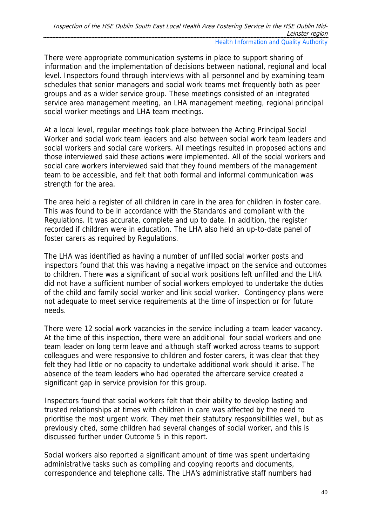There were appropriate communication systems in place to support sharing of information and the implementation of decisions between national, regional and local level. Inspectors found through interviews with all personnel and by examining team schedules that senior managers and social work teams met frequently both as peer groups and as a wider service group. These meetings consisted of an integrated service area management meeting, an LHA management meeting, regional principal social worker meetings and LHA team meetings.

At a local level, regular meetings took place between the Acting Principal Social Worker and social work team leaders and also between social work team leaders and social workers and social care workers. All meetings resulted in proposed actions and those interviewed said these actions were implemented. All of the social workers and social care workers interviewed said that they found members of the management team to be accessible, and felt that both formal and informal communication was strength for the area.

The area held a register of all children in care in the area for children in foster care. This was found to be in accordance with the Standards and compliant with the Regulations. It was accurate, complete and up to date. In addition, the register recorded if children were in education. The LHA also held an up-to-date panel of foster carers as required by Regulations.

The LHA was identified as having a number of unfilled social worker posts and inspectors found that this was having a negative impact on the service and outcomes to children. There was a significant of social work positions left unfilled and the LHA did not have a sufficient number of social workers employed to undertake the duties of the child and family social worker and link social worker. Contingency plans were not adequate to meet service requirements at the time of inspection or for future needs.

There were 12 social work vacancies in the service including a team leader vacancy. At the time of this inspection, there were an additional four social workers and one team leader on long term leave and although staff worked across teams to support colleagues and were responsive to children and foster carers, it was clear that they felt they had little or no capacity to undertake additional work should it arise. The absence of the team leaders who had operated the aftercare service created a significant gap in service provision for this group.

Inspectors found that social workers felt that their ability to develop lasting and trusted relationships at times with children in care was affected by the need to prioritise the most urgent work. They met their statutory responsibilities well, but as previously cited, some children had several changes of social worker, and this is discussed further under Outcome 5 in this report.

Social workers also reported a significant amount of time was spent undertaking administrative tasks such as compiling and copying reports and documents, correspondence and telephone calls. The LHA's administrative staff numbers had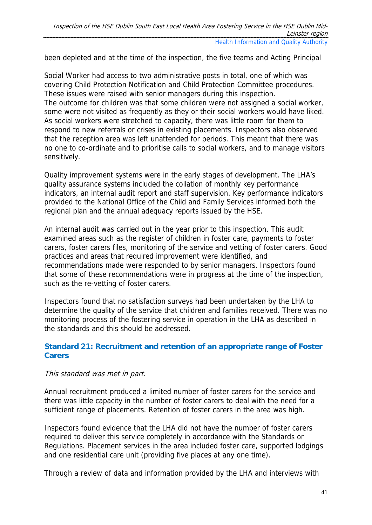been depleted and at the time of the inspection, the five teams and Acting Principal

Social Worker had access to two administrative posts in total, one of which was covering Child Protection Notification and Child Protection Committee procedures. These issues were raised with senior managers during this inspection. The outcome for children was that some children were not assigned a social worker, some were not visited as frequently as they or their social workers would have liked. As social workers were stretched to capacity, there was little room for them to respond to new referrals or crises in existing placements. Inspectors also observed that the reception area was left unattended for periods. This meant that there was no one to co-ordinate and to prioritise calls to social workers, and to manage visitors sensitively.

Quality improvement systems were in the early stages of development. The LHA's quality assurance systems included the collation of monthly key performance indicators, an internal audit report and staff supervision. Key performance indicators provided to the National Office of the Child and Family Services informed both the regional plan and the annual adequacy reports issued by the HSE.

An internal audit was carried out in the year prior to this inspection. This audit examined areas such as the register of children in foster care, payments to foster carers, foster carers files, monitoring of the service and vetting of foster carers. Good practices and areas that required improvement were identified, and recommendations made were responded to by senior managers. Inspectors found that some of these recommendations were in progress at the time of the inspection, such as the re-vetting of foster carers.

Inspectors found that no satisfaction surveys had been undertaken by the LHA to determine the quality of the service that children and families received. There was no monitoring process of the fostering service in operation in the LHA as described in the standards and this should be addressed.

# **Standard 21: Recruitment and retention of an appropriate range of Foster Carers**

# This standard was met in part.

Annual recruitment produced a limited number of foster carers for the service and there was little capacity in the number of foster carers to deal with the need for a sufficient range of placements. Retention of foster carers in the area was high.

Inspectors found evidence that the LHA did not have the number of foster carers required to deliver this service completely in accordance with the Standards or Regulations. Placement services in the area included foster care, supported lodgings and one residential care unit (providing five places at any one time).

Through a review of data and information provided by the LHA and interviews with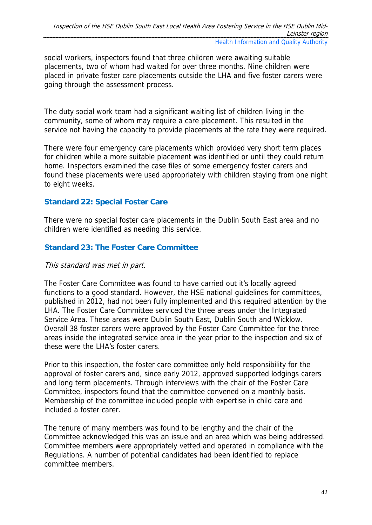social workers, inspectors found that three children were awaiting suitable placements, two of whom had waited for over three months. Nine children were placed in private foster care placements outside the LHA and five foster carers were going through the assessment process.

The duty social work team had a significant waiting list of children living in the community, some of whom may require a care placement. This resulted in the service not having the capacity to provide placements at the rate they were required.

There were four emergency care placements which provided very short term places for children while a more suitable placement was identified or until they could return home. Inspectors examined the case files of some emergency foster carers and found these placements were used appropriately with children staying from one night to eight weeks.

# **Standard 22: Special Foster Care**

There were no special foster care placements in the Dublin South East area and no children were identified as needing this service.

# **Standard 23: The Foster Care Committee**

#### This standard was met in part.

The Foster Care Committee was found to have carried out it's locally agreed functions to a good standard. However, the HSE national guidelines for committees, published in 2012, had not been fully implemented and this required attention by the LHA. The Foster Care Committee serviced the three areas under the Integrated Service Area. These areas were Dublin South East, Dublin South and Wicklow. Overall 38 foster carers were approved by the Foster Care Committee for the three areas inside the integrated service area in the year prior to the inspection and six of these were the LHA's foster carers.

Prior to this inspection, the foster care committee only held responsibility for the approval of foster carers and, since early 2012, approved supported lodgings carers and long term placements. Through interviews with the chair of the Foster Care Committee, inspectors found that the committee convened on a monthly basis. Membership of the committee included people with expertise in child care and included a foster carer.

The tenure of many members was found to be lengthy and the chair of the Committee acknowledged this was an issue and an area which was being addressed. Committee members were appropriately vetted and operated in compliance with the Regulations. A number of potential candidates had been identified to replace committee members.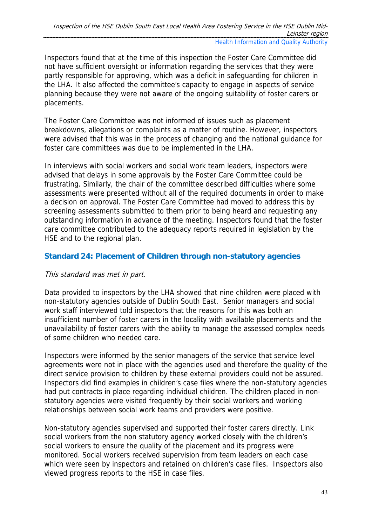Inspectors found that at the time of this inspection the Foster Care Committee did not have sufficient oversight or information regarding the services that they were partly responsible for approving, which was a deficit in safeguarding for children in the LHA. It also affected the committee's capacity to engage in aspects of service planning because they were not aware of the ongoing suitability of foster carers or placements.

The Foster Care Committee was not informed of issues such as placement breakdowns, allegations or complaints as a matter of routine. However, inspectors were advised that this was in the process of changing and the national guidance for foster care committees was due to be implemented in the LHA.

In interviews with social workers and social work team leaders, inspectors were advised that delays in some approvals by the Foster Care Committee could be frustrating. Similarly, the chair of the committee described difficulties where some assessments were presented without all of the required documents in order to make a decision on approval. The Foster Care Committee had moved to address this by screening assessments submitted to them prior to being heard and requesting any outstanding information in advance of the meeting. Inspectors found that the foster care committee contributed to the adequacy reports required in legislation by the HSE and to the regional plan.

# **Standard 24: Placement of Children through non-statutory agencies**

# This standard was met in part.

Data provided to inspectors by the LHA showed that nine children were placed with non-statutory agencies outside of Dublin South East. Senior managers and social work staff interviewed told inspectors that the reasons for this was both an insufficient number of foster carers in the locality with available placements and the unavailability of foster carers with the ability to manage the assessed complex needs of some children who needed care.

Inspectors were informed by the senior managers of the service that service level agreements were not in place with the agencies used and therefore the quality of the direct service provision to children by these external providers could not be assured. Inspectors did find examples in children's case files where the non-statutory agencies had put contracts in place regarding individual children. The children placed in nonstatutory agencies were visited frequently by their social workers and working relationships between social work teams and providers were positive.

Non-statutory agencies supervised and supported their foster carers directly. Link social workers from the non statutory agency worked closely with the children's social workers to ensure the quality of the placement and its progress were monitored. Social workers received supervision from team leaders on each case which were seen by inspectors and retained on children's case files. Inspectors also viewed progress reports to the HSE in case files.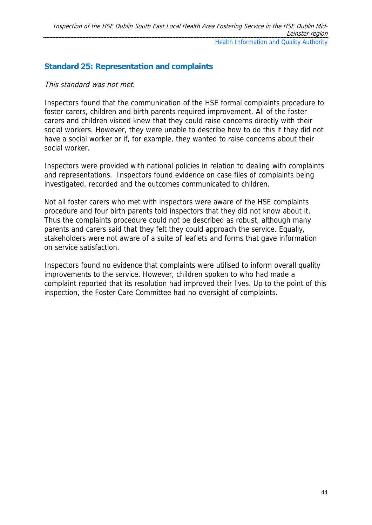# **Standard 25: Representation and complaints**

#### This standard was not met.

Inspectors found that the communication of the HSE formal complaints procedure to foster carers, children and birth parents required improvement. All of the foster carers and children visited knew that they could raise concerns directly with their social workers. However, they were unable to describe how to do this if they did not have a social worker or if, for example, they wanted to raise concerns about their social worker.

Inspectors were provided with national policies in relation to dealing with complaints and representations. Inspectors found evidence on case files of complaints being investigated, recorded and the outcomes communicated to children.

Not all foster carers who met with inspectors were aware of the HSE complaints procedure and four birth parents told inspectors that they did not know about it. Thus the complaints procedure could not be described as robust, although many parents and carers said that they felt they could approach the service. Equally, stakeholders were not aware of a suite of leaflets and forms that gave information on service satisfaction.

Inspectors found no evidence that complaints were utilised to inform overall quality improvements to the service. However, children spoken to who had made a complaint reported that its resolution had improved their lives. Up to the point of this inspection, the Foster Care Committee had no oversight of complaints.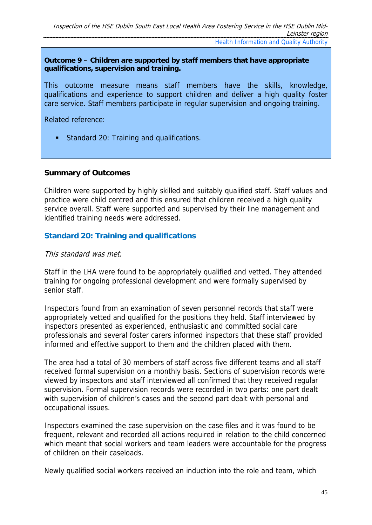#### **Outcome 9 – Children are supported by staff members that have appropriate qualifications, supervision and training.**

This outcome measure means staff members have the skills, knowledge, qualifications and experience to support children and deliver a high quality foster care service. Staff members participate in regular supervision and ongoing training.

Related reference:

Standard 20: Training and qualifications.

#### **Summary of Outcomes**

Children were supported by highly skilled and suitably qualified staff. Staff values and practice were child centred and this ensured that children received a high quality service overall. Staff were supported and supervised by their line management and identified training needs were addressed.

# **Standard 20: Training and qualifications**

#### This standard was met.

Staff in the LHA were found to be appropriately qualified and vetted. They attended training for ongoing professional development and were formally supervised by senior staff.

Inspectors found from an examination of seven personnel records that staff were appropriately vetted and qualified for the positions they held. Staff interviewed by inspectors presented as experienced, enthusiastic and committed social care professionals and several foster carers informed inspectors that these staff provided informed and effective support to them and the children placed with them.

The area had a total of 30 members of staff across five different teams and all staff received formal supervision on a monthly basis. Sections of supervision records were viewed by inspectors and staff interviewed all confirmed that they received regular supervision. Formal supervision records were recorded in two parts: one part dealt with supervision of children's cases and the second part dealt with personal and occupational issues.

Inspectors examined the case supervision on the case files and it was found to be frequent, relevant and recorded all actions required in relation to the child concerned which meant that social workers and team leaders were accountable for the progress of children on their caseloads.

Newly qualified social workers received an induction into the role and team, which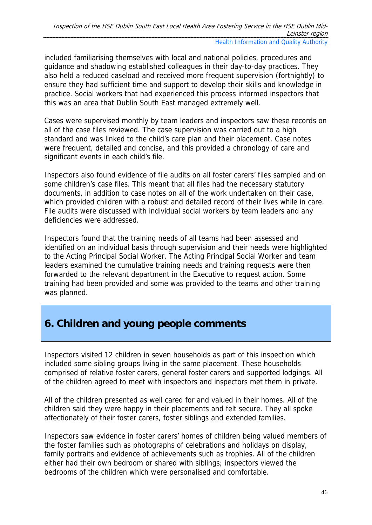included familiarising themselves with local and national policies, procedures and guidance and shadowing established colleagues in their day-to-day practices. They also held a reduced caseload and received more frequent supervision (fortnightly) to ensure they had sufficient time and support to develop their skills and knowledge in practice. Social workers that had experienced this process informed inspectors that this was an area that Dublin South East managed extremely well.

Cases were supervised monthly by team leaders and inspectors saw these records on all of the case files reviewed. The case supervision was carried out to a high standard and was linked to the child's care plan and their placement. Case notes were frequent, detailed and concise, and this provided a chronology of care and significant events in each child's file.

Inspectors also found evidence of file audits on all foster carers' files sampled and on some children's case files. This meant that all files had the necessary statutory documents, in addition to case notes on all of the work undertaken on their case, which provided children with a robust and detailed record of their lives while in care. File audits were discussed with individual social workers by team leaders and any deficiencies were addressed.

Inspectors found that the training needs of all teams had been assessed and identified on an individual basis through supervision and their needs were highlighted to the Acting Principal Social Worker. The Acting Principal Social Worker and team leaders examined the cumulative training needs and training requests were then forwarded to the relevant department in the Executive to request action. Some training had been provided and some was provided to the teams and other training was planned.

# **6. Children and young people comments**

Inspectors visited 12 children in seven households as part of this inspection which included some sibling groups living in the same placement. These households comprised of relative foster carers, general foster carers and supported lodgings. All of the children agreed to meet with inspectors and inspectors met them in private.

All of the children presented as well cared for and valued in their homes. All of the children said they were happy in their placements and felt secure. They all spoke affectionately of their foster carers, foster siblings and extended families.

Inspectors saw evidence in foster carers' homes of children being valued members of the foster families such as photographs of celebrations and holidays on display, family portraits and evidence of achievements such as trophies. All of the children either had their own bedroom or shared with siblings; inspectors viewed the bedrooms of the children which were personalised and comfortable.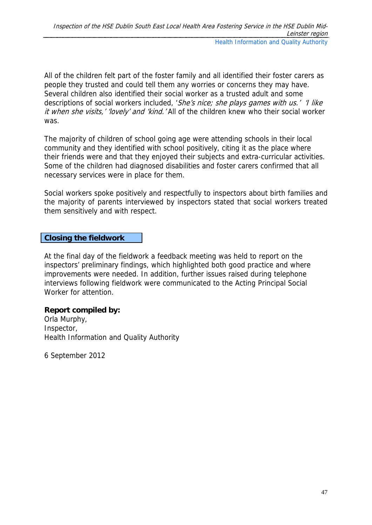All of the children felt part of the foster family and all identified their foster carers as people they trusted and could tell them any worries or concerns they may have. Several children also identified their social worker as a trusted adult and some descriptions of social workers included, 'She's nice; she plays games with us.' 'I like it when she visits,' 'lovely' and 'kind.' All of the children knew who their social worker was.

The majority of children of school going age were attending schools in their local community and they identified with school positively, citing it as the place where their friends were and that they enjoyed their subjects and extra-curricular activities. Some of the children had diagnosed disabilities and foster carers confirmed that all necessary services were in place for them.

Social workers spoke positively and respectfully to inspectors about birth families and the majority of parents interviewed by inspectors stated that social workers treated them sensitively and with respect.

### **Closing the fieldwork**

At the final day of the fieldwork a feedback meeting was held to report on the inspectors' preliminary findings, which highlighted both good practice and where improvements were needed. In addition, further issues raised during telephone interviews following fieldwork were communicated to the Acting Principal Social Worker for attention.

# **Report compiled by:**

Orla Murphy, Inspector, Health Information and Quality Authority

6 September 2012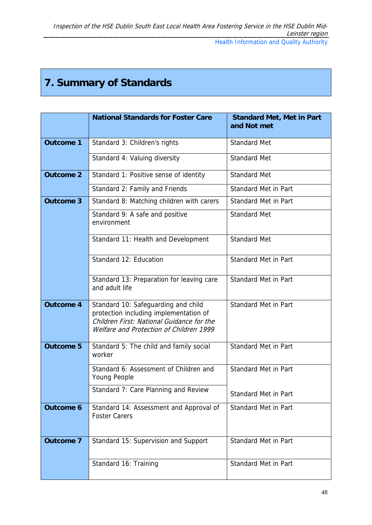# **7. Summary of Standards**

|                  | <b>National Standards for Foster Care</b>                                                                                                                             | <b>Standard Met, Met in Part</b><br>and Not met |
|------------------|-----------------------------------------------------------------------------------------------------------------------------------------------------------------------|-------------------------------------------------|
| <b>Outcome 1</b> | Standard 3: Children's rights                                                                                                                                         | <b>Standard Met</b>                             |
|                  | Standard 4: Valuing diversity                                                                                                                                         | <b>Standard Met</b>                             |
| <b>Outcome 2</b> | Standard 1: Positive sense of identity                                                                                                                                | <b>Standard Met</b>                             |
|                  | Standard 2: Family and Friends                                                                                                                                        | <b>Standard Met in Part</b>                     |
| <b>Outcome 3</b> | Standard 8: Matching children with carers                                                                                                                             | <b>Standard Met in Part</b>                     |
|                  | Standard 9: A safe and positive<br>environment                                                                                                                        | <b>Standard Met</b>                             |
|                  | Standard 11: Health and Development                                                                                                                                   | <b>Standard Met</b>                             |
|                  | Standard 12: Education                                                                                                                                                | <b>Standard Met in Part</b>                     |
|                  | Standard 13: Preparation for leaving care<br>and adult life                                                                                                           | <b>Standard Met in Part</b>                     |
| <b>Outcome 4</b> | Standard 10: Safeguarding and child<br>protection including implementation of<br>Children First: National Guidance for the<br>Welfare and Protection of Children 1999 | <b>Standard Met in Part</b>                     |
| <b>Outcome 5</b> | Standard 5: The child and family social<br>worker                                                                                                                     | <b>Standard Met in Part</b>                     |
|                  | Standard 6: Assessment of Children and<br>Young People                                                                                                                | <b>Standard Met in Part</b>                     |
|                  | Standard 7: Care Planning and Review                                                                                                                                  | <b>Standard Met in Part</b>                     |
| <b>Outcome 6</b> | Standard 14: Assessment and Approval of<br><b>Foster Carers</b>                                                                                                       | <b>Standard Met in Part</b>                     |
| <b>Outcome 7</b> | Standard 15: Supervision and Support                                                                                                                                  | <b>Standard Met in Part</b>                     |
|                  | Standard 16: Training                                                                                                                                                 | <b>Standard Met in Part</b>                     |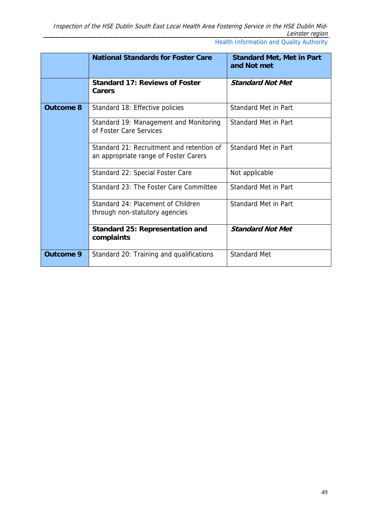|                  | <b>National Standards for Foster Care</b>                                          | <b>Standard Met, Met in Part</b><br>and Not met |
|------------------|------------------------------------------------------------------------------------|-------------------------------------------------|
|                  | <b>Standard 17: Reviews of Foster</b><br>Carers                                    | <b>Standard Not Met</b>                         |
| <b>Outcome 8</b> | Standard 18: Effective policies                                                    | Standard Met in Part                            |
|                  | Standard 19: Management and Monitoring<br>of Foster Care Services                  | Standard Met in Part                            |
|                  | Standard 21: Recruitment and retention of<br>an appropriate range of Foster Carers | Standard Met in Part                            |
|                  | Standard 22: Special Foster Care                                                   | Not applicable                                  |
|                  | Standard 23: The Foster Care Committee                                             | <b>Standard Met in Part</b>                     |
|                  | Standard 24: Placement of Children<br>through non-statutory agencies               | <b>Standard Met in Part</b>                     |
|                  | <b>Standard 25: Representation and</b><br>complaints                               | <b>Standard Not Met</b>                         |
| Outcome 9        | Standard 20: Training and qualifications                                           | <b>Standard Met</b>                             |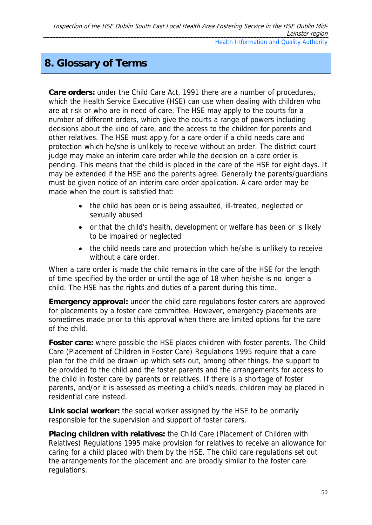# **8. Glossary of Terms**

**Care orders:** under the Child Care Act, 1991 there are a number of procedures, which the Health Service Executive (HSE) can use when dealing with children who are at risk or who are in need of care. The HSE may apply to the courts for a number of different orders, which give the courts a range of powers including decisions about the kind of care, and the access to the children for parents and other relatives. The HSE must apply for a care order if a child needs care and protection which he/she is unlikely to receive without an order. The district court judge may make an interim care order while the decision on a care order is pending. This means that the child is placed in the care of the HSE for eight days. It may be extended if the HSE and the parents agree. Generally the parents/guardians must be given notice of an interim care order application. A care order may be made when the court is satisfied that:

- the child has been or is being assaulted, ill-treated, neglected or sexually abused
- or that the child's health, development or welfare has been or is likely to be impaired or neglected
- the child needs care and protection which he/she is unlikely to receive without a care order.

When a care order is made the child remains in the care of the HSE for the length of time specified by the order or until the age of 18 when he/she is no longer a child. The HSE has the rights and duties of a parent during this time.

**Emergency approval:** under the child care regulations foster carers are approved for placements by a foster care committee. However, emergency placements are sometimes made prior to this approval when there are limited options for the care of the child.

**Foster care:** where possible the HSE places children with foster parents. The Child Care (Placement of Children in Foster Care) Regulations 1995 require that a care plan for the child be drawn up which sets out, among other things, the support to be provided to the child and the foster parents and the arrangements for access to the child in foster care by parents or relatives. If there is a shortage of foster parents, and/or it is assessed as meeting a child's needs, children may be placed in residential care instead.

**Link social worker:** the social worker assigned by the HSE to be primarily responsible for the supervision and support of foster carers.

**Placing children with relatives:** the Child Care (Placement of Children with Relatives) Regulations 1995 make provision for relatives to receive an allowance for caring for a child placed with them by the HSE. The child care regulations set out the arrangements for the placement and are broadly similar to the foster care regulations.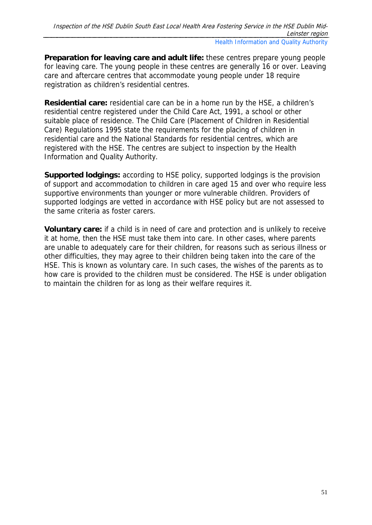**Preparation for leaving care and adult life:** these centres prepare young people for leaving care. The young people in these centres are generally 16 or over. Leaving care and aftercare centres that accommodate young people under 18 require registration as children's residential centres.

**Residential care:** residential care can be in a home run by the HSE, a children's residential centre registered under the Child Care Act, 1991, a school or other suitable place of residence. The Child Care (Placement of Children in Residential Care) Regulations 1995 state the requirements for the placing of children in residential care and the National Standards for residential centres, which are registered with the HSE. The centres are subject to inspection by the Health Information and Quality Authority.

**Supported lodgings:** according to HSE policy, supported lodgings is the provision of support and accommodation to children in care aged 15 and over who require less supportive environments than younger or more vulnerable children. Providers of supported lodgings are vetted in accordance with HSE policy but are not assessed to the same criteria as foster carers.

**Voluntary care:** if a child is in need of care and protection and is unlikely to receive it at home, then the HSE must take them into care. In other cases, where parents are unable to adequately care for their children, for reasons such as serious illness or other difficulties, they may agree to their children being taken into the care of the HSE. This is known as voluntary care. In such cases, the wishes of the parents as to how care is provided to the children must be considered. The HSE is under obligation to maintain the children for as long as their welfare requires it.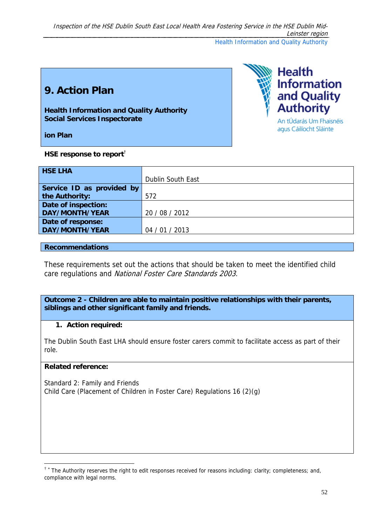Inspection of the HSE Dublin South East Local Health Area Fostering Service in the HSE Dublin Mid-Leinster region Health Information and Quality Authority

# **9. Action Plan**

**Health Information and Quality Authority Social Services Inspectorate** 

**ion Plan** 

**HSE response to report**†

| <b>HSE LHA</b>            |                   |
|---------------------------|-------------------|
|                           | Dublin South East |
| Service ID as provided by |                   |
| the Authority:            | 572               |
| Date of inspection:       |                   |
| DAY/MONTH/YEAR            | 20 / 08 / 2012    |
| Date of response:         |                   |
| DAY/MONTH/YEAR            | 04 / 01 / 2013    |

#### **Recommendations**

These requirements set out the actions that should be taken to meet the identified child care regulations and National Foster Care Standards 2003.

**Outcome 2 - Children are able to maintain positive relationships with their parents, siblings and other significant family and friends.** 

#### **1. Action required:**

The Dublin South East LHA should ensure foster carers commit to facilitate access as part of their role.

#### **Related reference:**

-

Standard 2: Family and Friends Child Care (Placement of Children in Foster Care) Regulations 16 (2)(g)



agus Cáilíocht Sláinte

<sup>†</sup> <sup>∗</sup> The Authority reserves the right to edit responses received for reasons including: clarity; completeness; and, compliance with legal norms.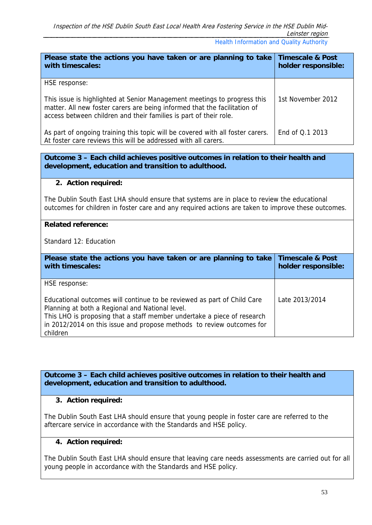| Please state the actions you have taken or are planning to take<br>with timescales:                                                                                                                                        | <b>Timescale &amp; Post</b><br>holder responsible: |
|----------------------------------------------------------------------------------------------------------------------------------------------------------------------------------------------------------------------------|----------------------------------------------------|
| HSE response:                                                                                                                                                                                                              |                                                    |
| This issue is highlighted at Senior Management meetings to progress this<br>matter. All new foster carers are being informed that the facilitation of<br>access between children and their families is part of their role. | 1st November 2012                                  |
| As part of ongoing training this topic will be covered with all foster carers.<br>At foster care reviews this will be addressed with all carers.                                                                           | End of Q.1 2013                                    |

**Outcome 3 – Each child achieves positive outcomes in relation to their health and development, education and transition to adulthood.** 

#### **2. Action required:**

The Dublin South East LHA should ensure that systems are in place to review the educational outcomes for children in foster care and any required actions are taken to improve these outcomes.

#### **Related reference:**

Standard 12: Education

| Please state the actions you have taken or are planning to take<br>with timescales:                                                                                                                                                                                                        | <b>Timescale &amp; Post</b><br>holder responsible: |
|--------------------------------------------------------------------------------------------------------------------------------------------------------------------------------------------------------------------------------------------------------------------------------------------|----------------------------------------------------|
| HSE response:                                                                                                                                                                                                                                                                              |                                                    |
| Educational outcomes will continue to be reviewed as part of Child Care<br>Planning at both a Regional and National level.<br>This LHO is proposing that a staff member undertake a piece of research<br>in 2012/2014 on this issue and propose methods to review outcomes for<br>children | Late 2013/2014                                     |

**Outcome 3 – Each child achieves positive outcomes in relation to their health and development, education and transition to adulthood.** 

#### **3. Action required:**

The Dublin South East LHA should ensure that young people in foster care are referred to the aftercare service in accordance with the Standards and HSE policy.

#### **4. Action required:**

The Dublin South East LHA should ensure that leaving care needs assessments are carried out for all young people in accordance with the Standards and HSE policy.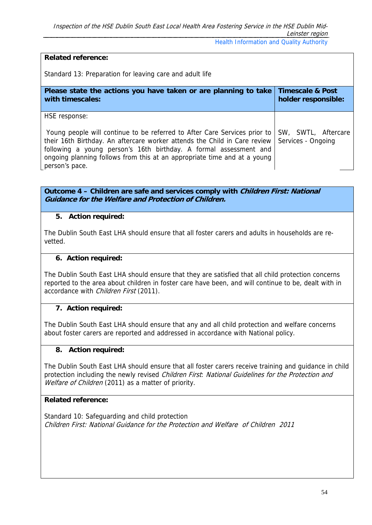#### **Related reference:**

Standard 13: Preparation for leaving care and adult life

| Please state the actions you have taken or are planning to take                                                                                                                                                                                                                                                                            | <b>Timescale &amp; Post</b>               |
|--------------------------------------------------------------------------------------------------------------------------------------------------------------------------------------------------------------------------------------------------------------------------------------------------------------------------------------------|-------------------------------------------|
| with timescales:                                                                                                                                                                                                                                                                                                                           | holder responsible:                       |
| HSE response:<br>Young people will continue to be referred to After Care Services prior to<br>their 16th Birthday. An aftercare worker attends the Child in Care review<br>following a young person's 16th birthday. A formal assessment and<br>ongoing planning follows from this at an appropriate time and at a young<br>person's pace. | SW, SWTL, Aftercare<br>Services - Ongoing |

**Outcome 4 – Children are safe and services comply with Children First: National Guidance for the Welfare and Protection of Children.** 

#### **5. Action required:**

The Dublin South East LHA should ensure that all foster carers and adults in households are revetted.

#### **6. Action required:**

The Dublin South East LHA should ensure that they are satisfied that all child protection concerns reported to the area about children in foster care have been, and will continue to be, dealt with in accordance with Children First (2011).

#### **7. Action required:**

The Dublin South East LHA should ensure that any and all child protection and welfare concerns about foster carers are reported and addressed in accordance with National policy.

#### **8. Action required:**

The Dublin South East LHA should ensure that all foster carers receive training and guidance in child protection including the newly revised *Children First: National Guidelines for the Protection and* Welfare of Children (2011) as a matter of priority.

#### **Related reference:**

Standard 10: Safeguarding and child protection Children First: National Guidance for the Protection and Welfare of Children 2011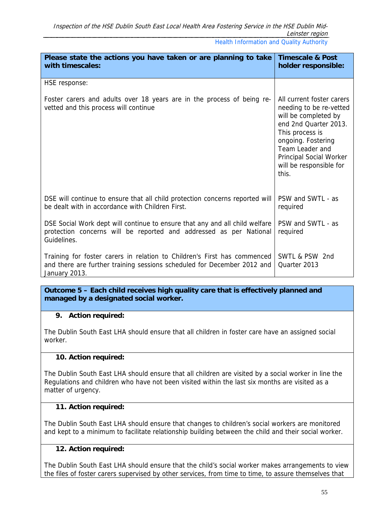| Please state the actions you have taken or are planning to take<br>with timescales:                                                                                  | <b>Timescale &amp; Post</b><br>holder responsible:                                                                                                                                                                               |
|----------------------------------------------------------------------------------------------------------------------------------------------------------------------|----------------------------------------------------------------------------------------------------------------------------------------------------------------------------------------------------------------------------------|
| HSE response:                                                                                                                                                        |                                                                                                                                                                                                                                  |
| Foster carers and adults over 18 years are in the process of being re-<br>vetted and this process will continue                                                      | All current foster carers<br>needing to be re-vetted<br>will be completed by<br>end 2nd Quarter 2013.<br>This process is<br>ongoing. Fostering<br>Team Leader and<br>Principal Social Worker<br>will be responsible for<br>this. |
| DSE will continue to ensure that all child protection concerns reported will<br>be dealt with in accordance with Children First.                                     | PSW and SWTL - as<br>required                                                                                                                                                                                                    |
| DSE Social Work dept will continue to ensure that any and all child welfare<br>protection concerns will be reported and addressed as per National<br>Guidelines.     | PSW and SWTL - as<br>required                                                                                                                                                                                                    |
| Training for foster carers in relation to Children's First has commenced<br>and there are further training sessions scheduled for December 2012 and<br>January 2013. | SWTL & PSW 2nd<br>Quarter 2013                                                                                                                                                                                                   |

#### **9. Action required:**

The Dublin South East LHA should ensure that all children in foster care have an assigned social worker.

#### **10. Action required:**

The Dublin South East LHA should ensure that all children are visited by a social worker in line the Regulations and children who have not been visited within the last six months are visited as a matter of urgency.

#### **11. Action required:**

The Dublin South East LHA should ensure that changes to children's social workers are monitored and kept to a minimum to facilitate relationship building between the child and their social worker.

#### **12. Action required:**

The Dublin South East LHA should ensure that the child's social worker makes arrangements to view the files of foster carers supervised by other services, from time to time, to assure themselves that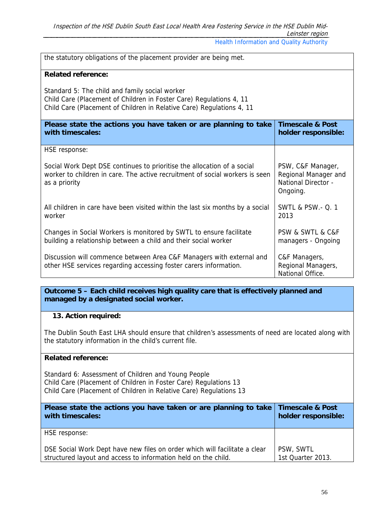| the statutory obligations of the placement provider are being met.                                                                                                                             |                                                                                     |
|------------------------------------------------------------------------------------------------------------------------------------------------------------------------------------------------|-------------------------------------------------------------------------------------|
| <b>Related reference:</b>                                                                                                                                                                      |                                                                                     |
| Standard 5: The child and family social worker<br>Child Care (Placement of Children in Foster Care) Regulations 4, 11<br>Child Care (Placement of Children in Relative Care) Regulations 4, 11 |                                                                                     |
| Please state the actions you have taken or are planning to take<br>with timescales:                                                                                                            | <b>Timescale &amp; Post</b><br>holder responsible:                                  |
| HSE response:                                                                                                                                                                                  |                                                                                     |
| Social Work Dept DSE continues to prioritise the allocation of a social<br>worker to children in care. The active recruitment of social workers is seen<br>as a priority                       | PSW, C&F Manager,<br>Regional Manager and<br><b>National Director -</b><br>Ongoing. |
| All children in care have been visited within the last six months by a social<br>worker                                                                                                        | <b>SWTL &amp; PSW.- Q. 1</b><br>2013                                                |
| Changes in Social Workers is monitored by SWTL to ensure facilitate<br>building a relationship between a child and their social worker                                                         | PSW & SWTL & C&F<br>managers - Ongoing                                              |
| Discussion will commence between Area C&F Managers with external and<br>other HSE services regarding accessing foster carers information.                                                      | C&F Managers,<br>Regional Managers,<br>National Office.                             |

### **13. Action required:**

The Dublin South East LHA should ensure that children's assessments of need are located along with the statutory information in the child's current file.

#### **Related reference:**

Standard 6: Assessment of Children and Young People Child Care (Placement of Children in Foster Care) Regulations 13 Child Care (Placement of Children in Relative Care) Regulations 13

| Please state the actions you have taken or are planning to take Timescale & Post<br>with timescales:                                         | holder responsible:            |
|----------------------------------------------------------------------------------------------------------------------------------------------|--------------------------------|
| HSE response:                                                                                                                                |                                |
| DSE Social Work Dept have new files on order which will facilitate a clear<br>structured layout and access to information held on the child. | PSW, SWTL<br>1st Quarter 2013. |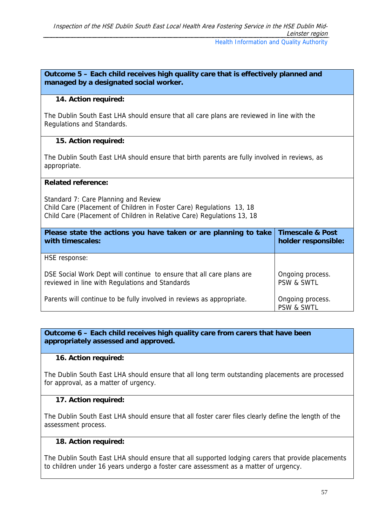#### **14. Action required:**

The Dublin South East LHA should ensure that all care plans are reviewed in line with the Regulations and Standards.

#### **15. Action required:**

The Dublin South East LHA should ensure that birth parents are fully involved in reviews, as appropriate.

#### **Related reference:**

Standard 7: Care Planning and Review Child Care (Placement of Children in Foster Care) Regulations 13, 18 Child Care (Placement of Children in Relative Care) Regulations 13, 18

| Please state the actions you have taken or are planning to take       | <b>Timescale &amp; Post</b>    |
|-----------------------------------------------------------------------|--------------------------------|
| with timescales:                                                      | holder responsible:            |
| HSE response:                                                         |                                |
| DSE Social Work Dept will continue to ensure that all care plans are  | Ongoing process.               |
| reviewed in line with Regulations and Standards                       | <b>PSW &amp; SWTL</b>          |
| Parents will continue to be fully involved in reviews as appropriate. | Ongoing process.<br>PSW & SWTL |

**Outcome 6 – Each child receives high quality care from carers that have been appropriately assessed and approved.**

#### **16. Action required:**

The Dublin South East LHA should ensure that all long term outstanding placements are processed for approval, as a matter of urgency.

#### **17. Action required:**

The Dublin South East LHA should ensure that all foster carer files clearly define the length of the assessment process.

#### **18. Action required:**

The Dublin South East LHA should ensure that all supported lodging carers that provide placements to children under 16 years undergo a foster care assessment as a matter of urgency.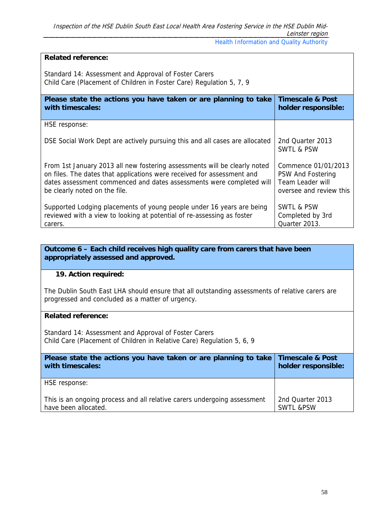#### **Related reference:**  Standard 14: Assessment and Approval of Foster Carers Child Care (Placement of Children in Foster Care) Regulation 5, 7, 9 **Please state the actions you have taken or are planning to take with timescales: Timescale & Post holder responsible:**  HSE response: DSE Social Work Dept are actively pursuing this and all cases are allocated From 1st January 2013 all new fostering assessments will be clearly noted on files. The dates that applications were received for assessment and dates assessment commenced and dates assessments were completed will be clearly noted on the file. Supported Lodging placements of young people under 16 years are being reviewed with a view to looking at potential of re-assessing as foster carers. 2nd Quarter 2013 SWTL & PSW Commence 01/01/2013 PSW And Fostering Team Leader will oversee and review this SWTL & PSW Completed by 3rd Quarter 2013.

#### **Outcome 6 – Each child receives high quality care from carers that have been appropriately assessed and approved.**

#### **19. Action required:**

The Dublin South East LHA should ensure that all outstanding assessments of relative carers are progressed and concluded as a matter of urgency.

#### **Related reference:**

Standard 14: Assessment and Approval of Foster Carers Child Care (Placement of Children in Relative Care) Regulation 5, 6, 9

| Please state the actions you have taken or are planning to take          | <b>Timescale &amp; Post</b> |
|--------------------------------------------------------------------------|-----------------------------|
| with timescales:                                                         | holder responsible:         |
| HSE response:                                                            |                             |
| This is an ongoing process and all relative carers undergoing assessment | 2nd Quarter 2013            |
| have been allocated.                                                     | <b>SWTL &amp;PSW</b>        |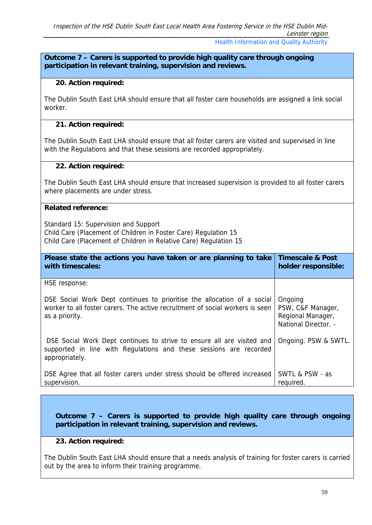#### **Outcome 7 – Carers is supported to provide high quality care through ongoing participation in relevant training, supervision and reviews.**

#### **20. Action required:**

The Dublin South East LHA should ensure that all foster care households are assigned a link social worker.

#### **21. Action required:**

The Dublin South East LHA should ensure that all foster carers are visited and supervised in line with the Regulations and that these sessions are recorded appropriately.

#### **22. Action required:**

The Dublin South East LHA should ensure that increased supervision is provided to all foster carers where placements are under stress.

#### **Related reference:**

Standard 15: Supervision and Support Child Care (Placement of Children in Foster Care) Regulation 15 Child Care (Placement of Children in Relative Care) Regulation 15

| Please state the actions you have taken or are planning to take<br>with timescales:                                                                                        | <b>Timescale &amp; Post</b><br>holder responsible:                        |
|----------------------------------------------------------------------------------------------------------------------------------------------------------------------------|---------------------------------------------------------------------------|
| HSE response:                                                                                                                                                              |                                                                           |
| DSE Social Work Dept continues to prioritise the allocation of a social<br>worker to all foster carers. The active recruitment of social workers is seen<br>as a priority. | Ongoing<br>PSW, C&F Manager,<br>Regional Manager,<br>National Director. - |
| DSE Social Work Dept continues to strive to ensure all are visited and<br>supported in line with Regulations and these sessions are recorded<br>appropriately.             | Ongoing. PSW & SWTL.                                                      |
| DSE Agree that all foster carers under stress should be offered increased<br>supervision.                                                                                  | SWTL & PSW - as<br>required.                                              |

**Outcome 7 – Carers is supported to provide high quality care through ongoing participation in relevant training, supervision and reviews.** 

#### **23. Action required:**

The Dublin South East LHA should ensure that a needs analysis of training for foster carers is carried out by the area to inform their training programme.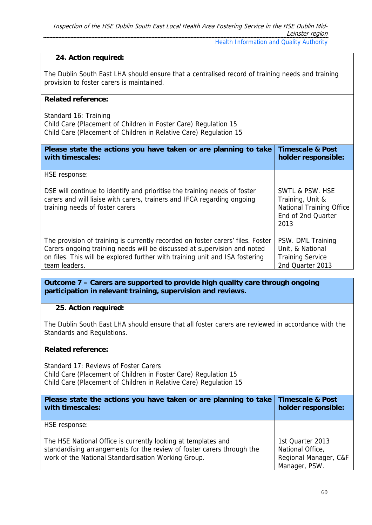#### **24. Action required:**

The Dublin South East LHA should ensure that a centralised record of training needs and training provision to foster carers is maintained.

#### **Related reference:**

Standard 16: Training Child Care (Placement of Children in Foster Care) Regulation 15 Child Care (Placement of Children in Relative Care) Regulation 15

| Please state the actions you have taken or are planning to take                                                                                                                         | <b>Timescale &amp; Post</b>                                                                          |
|-----------------------------------------------------------------------------------------------------------------------------------------------------------------------------------------|------------------------------------------------------------------------------------------------------|
| with timescales:                                                                                                                                                                        | holder responsible:                                                                                  |
| HSE response:                                                                                                                                                                           |                                                                                                      |
| DSE will continue to identify and prioritise the training needs of foster<br>carers and will liaise with carers, trainers and IFCA regarding ongoing<br>training needs of foster carers | SWTL & PSW. HSE<br>Training, Unit &<br><b>National Training Office</b><br>End of 2nd Quarter<br>2013 |
| The provision of training is currently recorded on foster carers' files. Foster                                                                                                         | PSW. DML Training                                                                                    |
| Carers ongoing training needs will be discussed at supervision and noted                                                                                                                | Unit, & National                                                                                     |
| on files. This will be explored further with training unit and ISA fostering                                                                                                            | <b>Training Service</b>                                                                              |
| team leaders.                                                                                                                                                                           | 2nd Quarter 2013                                                                                     |

**Outcome 7 – Carers are supported to provide high quality care through ongoing participation in relevant training, supervision and reviews.** 

#### **25. Action required:**

The Dublin South East LHA should ensure that all foster carers are reviewed in accordance with the Standards and Regulations.

#### **Related reference:**

Standard 17: Reviews of Foster Carers Child Care (Placement of Children in Foster Care) Regulation 15 Child Care (Placement of Children in Relative Care) Regulation 15

| Please state the actions you have taken or are planning to take<br>with timescales:                                                                                                            | <b>Timescale &amp; Post</b><br>holder responsible:                             |
|------------------------------------------------------------------------------------------------------------------------------------------------------------------------------------------------|--------------------------------------------------------------------------------|
| HSE response:                                                                                                                                                                                  |                                                                                |
| The HSE National Office is currently looking at templates and<br>standardising arrangements for the review of foster carers through the<br>work of the National Standardisation Working Group. | 1st Quarter 2013<br>National Office,<br>Regional Manager, C&F<br>Manager, PSW. |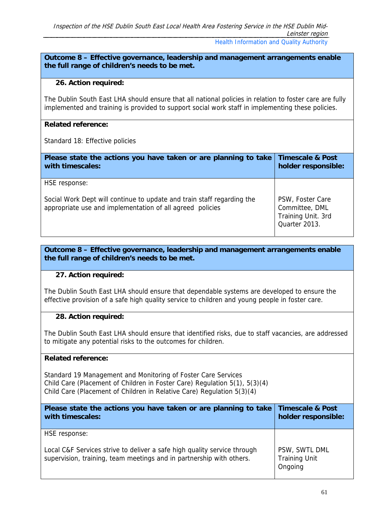#### **26. Action required:**

The Dublin South East LHA should ensure that all national policies in relation to foster care are fully implemented and training is provided to support social work staff in implementing these policies.

#### **Related reference:**

Standard 18: Effective policies

| Please state the actions you have taken or are planning to take<br>with timescales:                                                 | <b>Timescale &amp; Post</b><br>holder responsible:                        |
|-------------------------------------------------------------------------------------------------------------------------------------|---------------------------------------------------------------------------|
| HSE response:                                                                                                                       |                                                                           |
| Social Work Dept will continue to update and train staff regarding the<br>appropriate use and implementation of all agreed policies | PSW, Foster Care<br>Committee, DML<br>Training Unit. 3rd<br>Quarter 2013. |

#### **Outcome 8 – Effective governance, leadership and management arrangements enable the full range of children's needs to be met.**

#### **27. Action required:**

The Dublin South East LHA should ensure that dependable systems are developed to ensure the effective provision of a safe high quality service to children and young people in foster care.

#### **28. Action required:**

The Dublin South East LHA should ensure that identified risks, due to staff vacancies, are addressed to mitigate any potential risks to the outcomes for children.

#### **Related reference:**

Standard 19 Management and Monitoring of Foster Care Services Child Care (Placement of Children in Foster Care) Regulation 5(1), 5(3)(4) Child Care (Placement of Children in Relative Care) Regulation 5(3)(4)

| Please state the actions you have taken or are planning to take<br>with timescales:                                                              | <b>Timescale &amp; Post</b><br>holder responsible: |
|--------------------------------------------------------------------------------------------------------------------------------------------------|----------------------------------------------------|
| HSE response:                                                                                                                                    |                                                    |
| Local C&F Services strive to deliver a safe high quality service through<br>supervision, training, team meetings and in partnership with others. | PSW, SWTL DML<br><b>Training Unit</b><br>Ongoing   |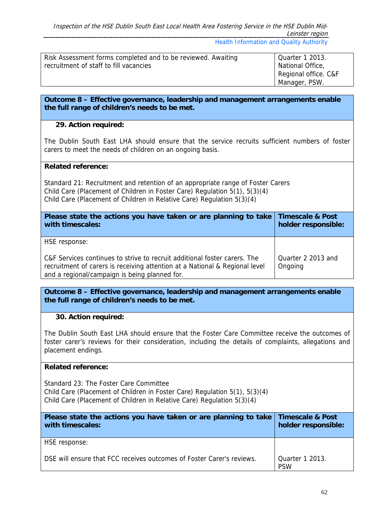| Risk Assessment forms completed and to be reviewed. Awaiting | Quarter 1 2013.      |
|--------------------------------------------------------------|----------------------|
| recruitment of staff to fill vacancies                       | National Office,     |
|                                                              | Regional office. C&F |
|                                                              | Manager, PSW.        |

#### **29. Action required:**

The Dublin South East LHA should ensure that the service recruits sufficient numbers of foster carers to meet the needs of children on an ongoing basis.

#### **Related reference:**

Standard 21: Recruitment and retention of an appropriate range of Foster Carers Child Care (Placement of Children in Foster Care) Regulation 5(1), 5(3)(4) Child Care (Placement of Children in Relative Care) Regulation 5(3)(4)

| Please state the actions you have taken or are planning to take<br>with timescales:                                                                                                                       | <b>Timescale &amp; Post</b><br>holder responsible: |
|-----------------------------------------------------------------------------------------------------------------------------------------------------------------------------------------------------------|----------------------------------------------------|
| HSE response:                                                                                                                                                                                             |                                                    |
| C&F Services continues to strive to recruit additional foster carers. The<br>recruitment of carers is receiving attention at a National & Regional level<br>and a regional/campaign is being planned for. | Quarter 2 2013 and<br>Ongoing                      |

**Outcome 8 – Effective governance, leadership and management arrangements enable the full range of children's needs to be met.** 

#### **30. Action required:**

The Dublin South East LHA should ensure that the Foster Care Committee receive the outcomes of foster carer's reviews for their consideration, including the details of complaints, allegations and placement endings.

#### **Related reference:**

Standard 23: The Foster Care Committee Child Care (Placement of Children in Foster Care) Regulation 5(1), 5(3)(4) Child Care (Placement of Children in Relative Care) Regulation 5(3)(4)

| Please state the actions you have taken or are planning to take Timescale & Post<br>with timescales: | holder responsible:           |
|------------------------------------------------------------------------------------------------------|-------------------------------|
| HSE response:                                                                                        |                               |
| DSE will ensure that FCC receives outcomes of Foster Carer's reviews.                                | Quarter 1 2013.<br><b>PSW</b> |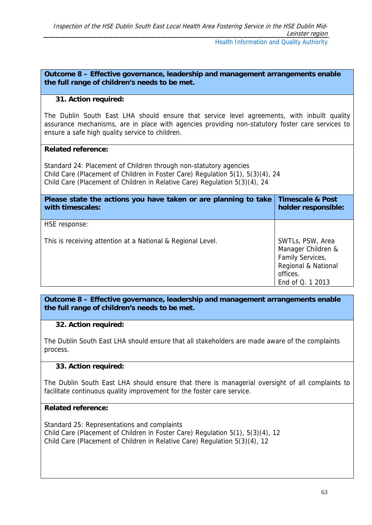#### **31. Action required:**

The Dublin South East LHA should ensure that service level agreements, with inbuilt quality assurance mechanisms, are in place with agencies providing non-statutory foster care services to ensure a safe high quality service to children.

#### **Related reference:**

Standard 24: Placement of Children through non-statutory agencies Child Care (Placement of Children in Foster Care) Regulation 5(1), 5(3)(4), 24 Child Care (Placement of Children in Relative Care) Regulation 5(3)(4), 24

| Please state the actions you have taken or are planning to take<br>with timescales: | <b>Timescale &amp; Post</b><br>holder responsible:                                                                |
|-------------------------------------------------------------------------------------|-------------------------------------------------------------------------------------------------------------------|
| HSE response:                                                                       |                                                                                                                   |
| This is receiving attention at a National & Regional Level.                         | SWTLs, PSW, Area<br>Manager Children &<br>Family Services,<br>Regional & National<br>offices.<br>End of Q. 1 2013 |

**Outcome 8 – Effective governance, leadership and management arrangements enable the full range of children's needs to be met.** 

#### **32. Action required:**

The Dublin South East LHA should ensure that all stakeholders are made aware of the complaints process.

#### **33. Action required:**

The Dublin South East LHA should ensure that there is managerial oversight of all complaints to facilitate continuous quality improvement for the foster care service.

#### **Related reference:**

Standard 25: Representations and complaints Child Care (Placement of Children in Foster Care) Regulation 5(1), 5(3)(4), 12 Child Care (Placement of Children in Relative Care) Regulation 5(3)(4), 12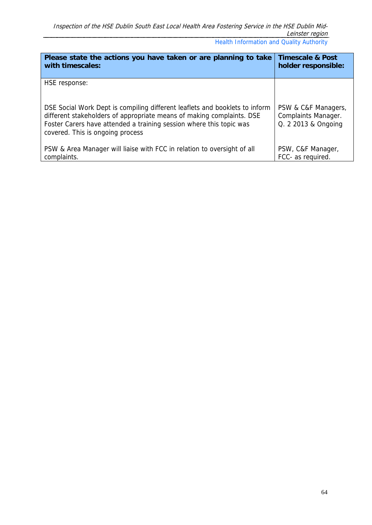| Please state the actions you have taken or are planning to take                                                                                                                                                                                                 | <b>Timescale &amp; Post</b>                                              |
|-----------------------------------------------------------------------------------------------------------------------------------------------------------------------------------------------------------------------------------------------------------------|--------------------------------------------------------------------------|
| with timescales:                                                                                                                                                                                                                                                | holder responsible:                                                      |
| HSE response:                                                                                                                                                                                                                                                   |                                                                          |
| DSE Social Work Dept is compiling different leaflets and booklets to inform<br>different stakeholders of appropriate means of making complaints. DSE<br>Foster Carers have attended a training session where this topic was<br>covered. This is ongoing process | PSW & C&F Managers,<br><b>Complaints Manager.</b><br>Q. 2 2013 & Ongoing |
| PSW & Area Manager will liaise with FCC in relation to oversight of all                                                                                                                                                                                         | PSW, C&F Manager,                                                        |
| complaints.                                                                                                                                                                                                                                                     | FCC- as required.                                                        |